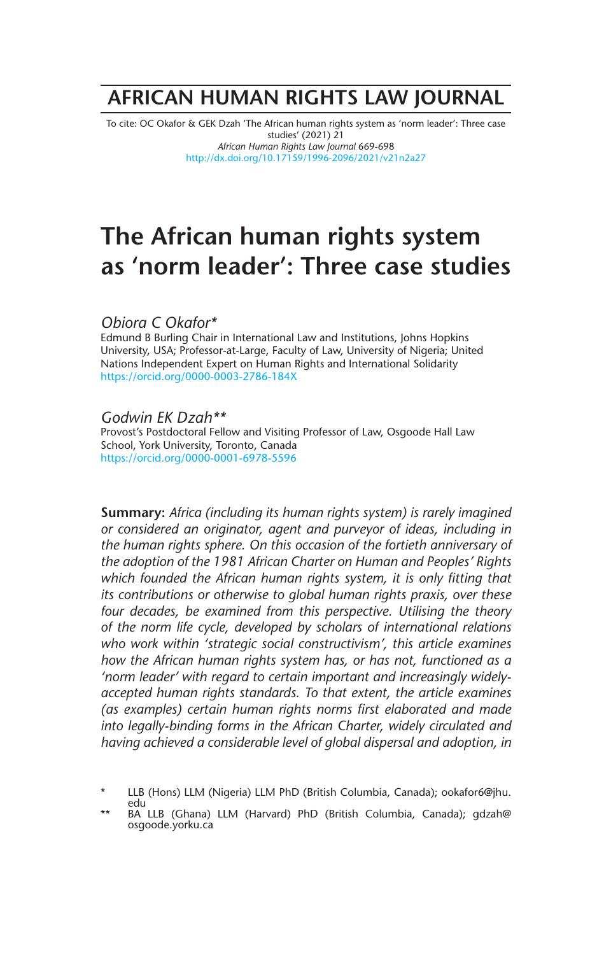## **AFRICAN HUMAN RIGHTS LAW JOURNAL**

To cite: OC Okafor & GEK Dzah 'The African human rights system as 'norm leader': Three case studies' (2021) 21 *African Human Rights Law Journal* 669-698 http://dx.doi.org/10.17159/1996-2096/2021/v21n2a27

# **The African human rights system as 'norm leader': Three case studies**

*Obiora C Okafor\** 

Edmund B Burling Chair in International Law and Institutions, Johns Hopkins University, USA; Professor-at-Large, Faculty of Law, University of Nigeria; United Nations Independent Expert on Human Rights and International Solidarity https://orcid.org/0000-0003-2786-184X

#### *Godwin EK Dzah\*\**

Provost's Postdoctoral Fellow and Visiting Professor of Law, Osgoode Hall Law School, York University, Toronto, Canada https://orcid.org/0000-0001-6978-5596

**Summary:** *Africa (including its human rights system) is rarely imagined or considered an originator, agent and purveyor of ideas, including in the human rights sphere. On this occasion of the fortieth anniversary of the adoption of the 1981 African Charter on Human and Peoples' Rights which founded the African human rights system, it is only fitting that its contributions or otherwise to global human rights praxis, over these four decades, be examined from this perspective. Utilising the theory of the norm life cycle, developed by scholars of international relations who work within 'strategic social constructivism', this article examines how the African human rights system has, or has not, functioned as a 'norm leader' with regard to certain important and increasingly widelyaccepted human rights standards. To that extent, the article examines (as examples) certain human rights norms first elaborated and made into legally-binding forms in the African Charter, widely circulated and having achieved a considerable level of global dispersal and adoption, in* 

<sup>\*</sup> LLB (Hons) LLM (Nigeria) LLM PhD (British Columbia, Canada); ookafor6@jhu. edu

<sup>\*\*</sup> BA LLB (Ghana) LLM (Harvard) PhD (British Columbia, Canada); gdzah@ osgoode.yorku.ca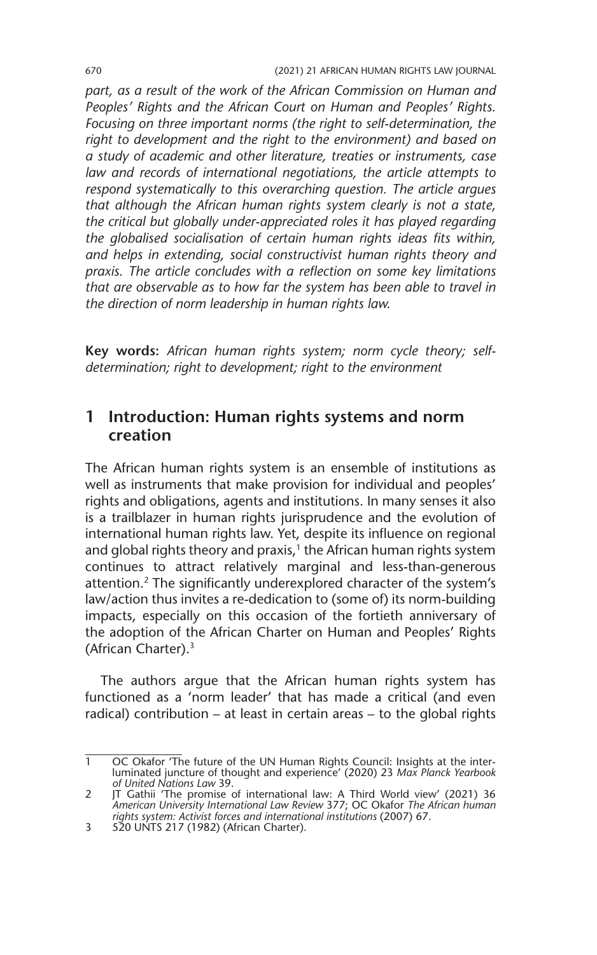*part, as a result of the work of the African Commission on Human and Peoples' Rights and the African Court on Human and Peoples' Rights. Focusing on three important norms (the right to self-determination, the right to development and the right to the environment) and based on a study of academic and other literature, treaties or instruments, case law and records of international negotiations, the article attempts to respond systematically to this overarching question. The article argues that although the African human rights system clearly is not a state, the critical but globally under-appreciated roles it has played regarding the globalised socialisation of certain human rights ideas fits within, and helps in extending, social constructivist human rights theory and praxis. The article concludes with a reflection on some key limitations that are observable as to how far the system has been able to travel in the direction of norm leadership in human rights law.*

**Key words:** *African human rights system; norm cycle theory; selfdetermination; right to development; right to the environment*

## **1 Introduction: Human rights systems and norm creation**

The African human rights system is an ensemble of institutions as well as instruments that make provision for individual and peoples' rights and obligations, agents and institutions. In many senses it also is a trailblazer in human rights jurisprudence and the evolution of international human rights law. Yet, despite its influence on regional and global rights theory and praxis, $1$  the African human rights system continues to attract relatively marginal and less-than-generous attention.2 The significantly underexplored character of the system's law/action thus invites a re-dedication to (some of) its norm-building impacts, especially on this occasion of the fortieth anniversary of the adoption of the African Charter on Human and Peoples' Rights (African Charter).3

The authors argue that the African human rights system has functioned as a 'norm leader' that has made a critical (and even radical) contribution – at least in certain areas – to the global rights

<sup>1</sup> OC Okafor 'The future of the UN Human Rights Council: Insights at the interluminated juncture of thought and experience' (2020) 23 *Max Planck Yearbook of United Nations Law* 39.

<sup>2</sup> JT Gathii 'The promise of international law: A Third World view' (2021) 36 *American University International Law Review* 377; OC Okafor *The African human rights system: Activist forces and international institutions* (2007) 67.

<sup>3</sup> 520 UNTS 217 (1982) (African Charter).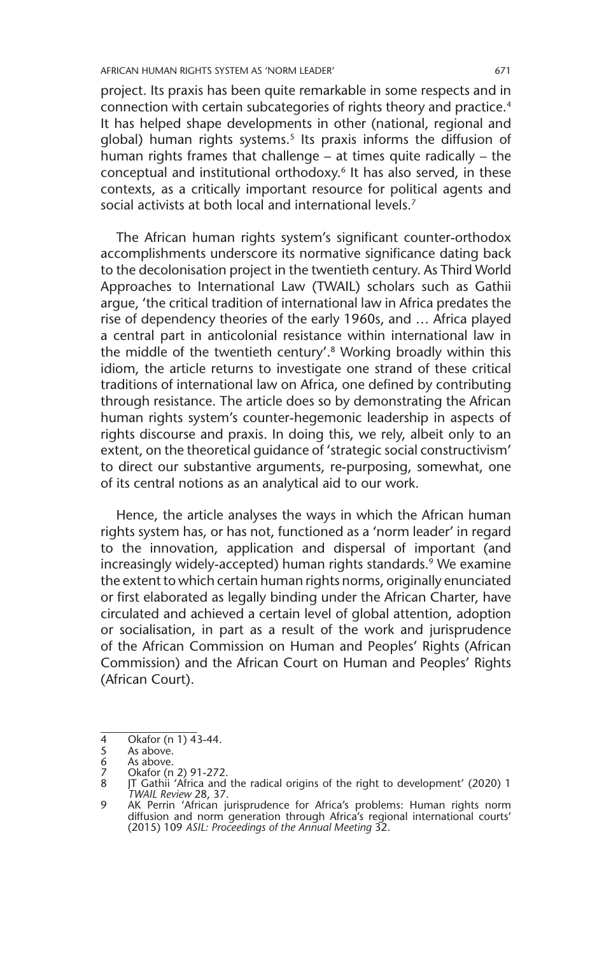project. Its praxis has been quite remarkable in some respects and in connection with certain subcategories of rights theory and practice.4 It has helped shape developments in other (national, regional and global) human rights systems.<sup>5</sup> Its praxis informs the diffusion of human rights frames that challenge – at times quite radically – the conceptual and institutional orthodoxy.6 It has also served, in these contexts, as a critically important resource for political agents and social activists at both local and international levels.<sup>7</sup>

The African human rights system's significant counter-orthodox accomplishments underscore its normative significance dating back to the decolonisation project in the twentieth century. As Third World Approaches to International Law (TWAIL) scholars such as Gathii argue, 'the critical tradition of international law in Africa predates the rise of dependency theories of the early 1960s, and … Africa played a central part in anticolonial resistance within international law in the middle of the twentieth century'.8 Working broadly within this idiom, the article returns to investigate one strand of these critical traditions of international law on Africa, one defined by contributing through resistance. The article does so by demonstrating the African human rights system's counter-hegemonic leadership in aspects of rights discourse and praxis. In doing this, we rely, albeit only to an extent, on the theoretical guidance of 'strategic social constructivism' to direct our substantive arguments, re-purposing, somewhat, one of its central notions as an analytical aid to our work.

Hence, the article analyses the ways in which the African human rights system has, or has not, functioned as a 'norm leader' in regard to the innovation, application and dispersal of important (and increasingly widely-accepted) human rights standards.<sup>9</sup> We examine the extent to which certain human rights norms, originally enunciated or first elaborated as legally binding under the African Charter, have circulated and achieved a certain level of global attention, adoption or socialisation, in part as a result of the work and jurisprudence of the African Commission on Human and Peoples' Rights (African Commission) and the African Court on Human and Peoples' Rights (African Court).

<sup>4</sup> Okafor (n 1)  $\overline{4}3-44$ .<br>5 As above.

<sup>5</sup> As above.<br>6 As above.

As above.

<sup>7</sup> Okafor (n 2) 91-272. 8 JT Gathii 'Africa and the radical origins of the right to development' (2020) 1 *TWAIL Review* 28, 37.

<sup>9</sup> AK Perrin 'African jurisprudence for Africa's problems: Human rights norm diffusion and norm generation through Africa's regional international courts' (2015) 109 *ASIL: Proceedings of the Annual Meeting* 32.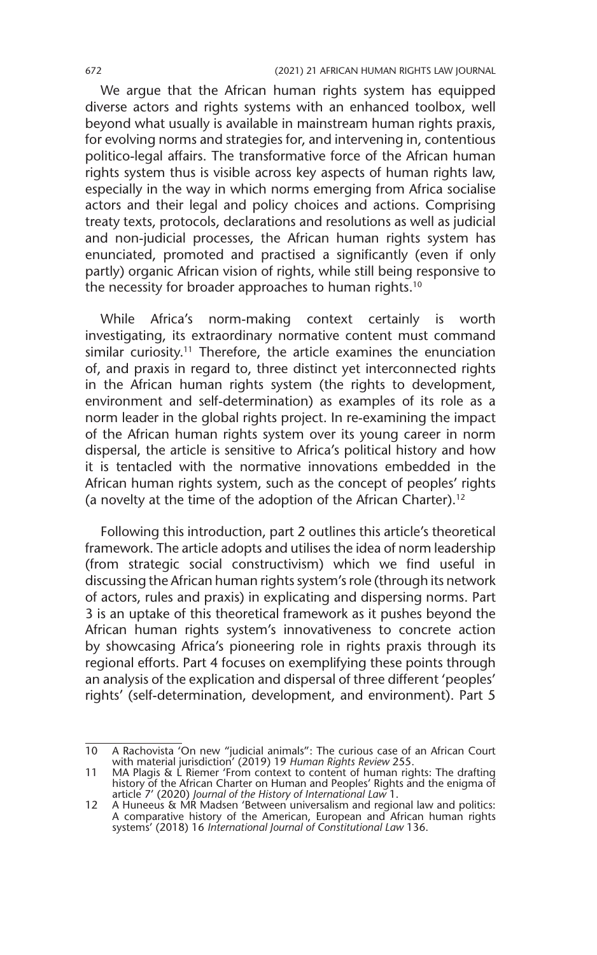We argue that the African human rights system has equipped diverse actors and rights systems with an enhanced toolbox, well beyond what usually is available in mainstream human rights praxis, for evolving norms and strategies for, and intervening in, contentious politico-legal affairs. The transformative force of the African human rights system thus is visible across key aspects of human rights law, especially in the way in which norms emerging from Africa socialise actors and their legal and policy choices and actions. Comprising treaty texts, protocols, declarations and resolutions as well as judicial and non-judicial processes, the African human rights system has enunciated, promoted and practised a significantly (even if only partly) organic African vision of rights, while still being responsive to the necessity for broader approaches to human rights.<sup>10</sup>

While Africa's norm-making context certainly is worth investigating, its extraordinary normative content must command similar curiosity.<sup>11</sup> Therefore, the article examines the enunciation of, and praxis in regard to, three distinct yet interconnected rights in the African human rights system (the rights to development, environment and self-determination) as examples of its role as a norm leader in the global rights project. In re-examining the impact of the African human rights system over its young career in norm dispersal, the article is sensitive to Africa's political history and how it is tentacled with the normative innovations embedded in the African human rights system, such as the concept of peoples' rights (a novelty at the time of the adoption of the African Charter).12

Following this introduction, part 2 outlines this article's theoretical framework. The article adopts and utilises the idea of norm leadership (from strategic social constructivism) which we find useful in discussing the African human rights system's role (through its network of actors, rules and praxis) in explicating and dispersing norms. Part 3 is an uptake of this theoretical framework as it pushes beyond the African human rights system's innovativeness to concrete action by showcasing Africa's pioneering role in rights praxis through its regional efforts. Part 4 focuses on exemplifying these points through an analysis of the explication and dispersal of three different 'peoples' rights' (self-determination, development, and environment). Part 5

<sup>10</sup> A Rachovista 'On new "judicial animals": The curious case of an African Court with material jurisdiction' (2019) 19 *Human Rights Review* 255.

<sup>11</sup> MA Plagis & L Riemer 'From context to content of human rights: The drafting<br>history of the African Charter on Human and Peoples' Rights and the enigma of<br>article 7' (2020) Journal of the History of International Law 1.

<sup>12</sup> A Huneeus & MR Madsen 'Between universalism and regional law and politics: A comparative history of the American, European and African human rights systems' (2018) 16 *International Journal of Constitutional Law* 136.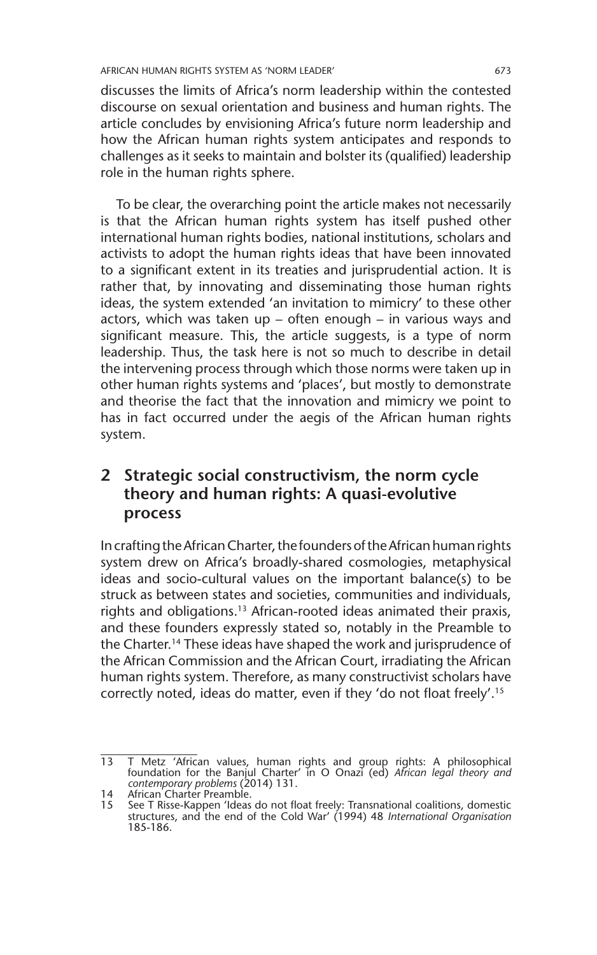discusses the limits of Africa's norm leadership within the contested discourse on sexual orientation and business and human rights. The article concludes by envisioning Africa's future norm leadership and how the African human rights system anticipates and responds to challenges as it seeks to maintain and bolster its (qualified) leadership role in the human rights sphere.

To be clear, the overarching point the article makes not necessarily is that the African human rights system has itself pushed other international human rights bodies, national institutions, scholars and activists to adopt the human rights ideas that have been innovated to a significant extent in its treaties and jurisprudential action. It is rather that, by innovating and disseminating those human rights ideas, the system extended 'an invitation to mimicry' to these other actors, which was taken up – often enough – in various ways and significant measure. This, the article suggests, is a type of norm leadership. Thus, the task here is not so much to describe in detail the intervening process through which those norms were taken up in other human rights systems and 'places', but mostly to demonstrate and theorise the fact that the innovation and mimicry we point to has in fact occurred under the aegis of the African human rights system.

## **2 Strategic social constructivism, the norm cycle theory and human rights: A quasi-evolutive process**

In crafting the African Charter, the founders of the African human rights system drew on Africa's broadly-shared cosmologies, metaphysical ideas and socio-cultural values on the important balance(s) to be struck as between states and societies, communities and individuals, rights and obligations.<sup>13</sup> African-rooted ideas animated their praxis, and these founders expressly stated so, notably in the Preamble to the Charter.<sup>14</sup> These ideas have shaped the work and jurisprudence of the African Commission and the African Court, irradiating the African human rights system. Therefore, as many constructivist scholars have correctly noted, ideas do matter, even if they 'do not float freely'.15

<sup>13</sup> T Metz 'African values, human rights and group rights: A philosophical foundation for the Banjul Charter' in O Onazi (ed) *African legal theory and contemporary problems* (2014) 131.

<sup>14</sup> African Charter Preamble.

<sup>15</sup> See T Risse-Kappen 'Ideas do not float freely: Transnational coalitions, domestic structures, and the end of the Cold War' (1994) 48 *International Organisation* 185-186.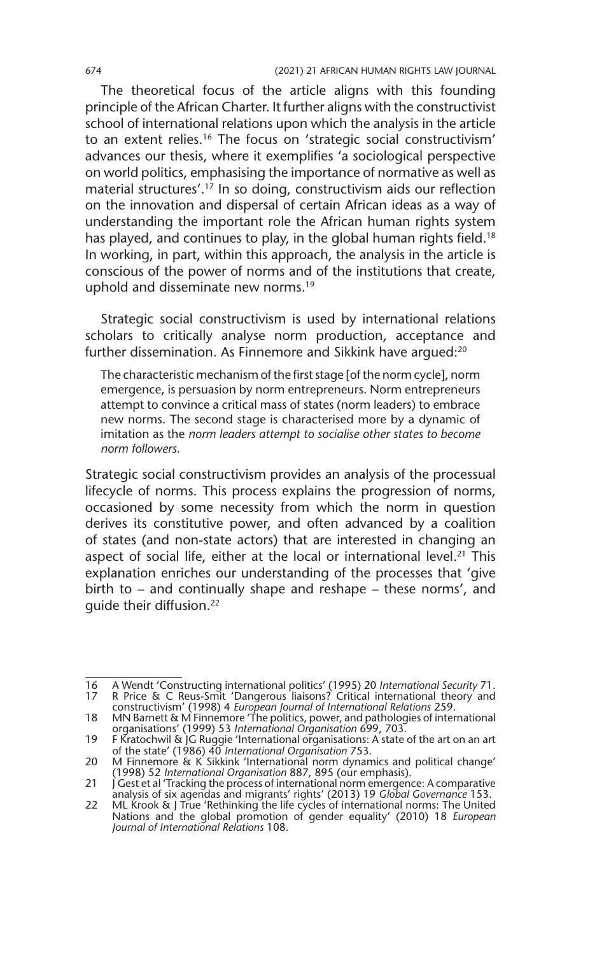The theoretical focus of the article aligns with this founding principle of the African Charter. It further aligns with the constructivist school of international relations upon which the analysis in the article to an extent relies.16 The focus on 'strategic social constructivism' advances our thesis, where it exemplifies 'a sociological perspective on world politics, emphasising the importance of normative as well as material structures'.17 In so doing, constructivism aids our reflection on the innovation and dispersal of certain African ideas as a way of understanding the important role the African human rights system has played, and continues to play, in the global human rights field.<sup>18</sup> In working, in part, within this approach, the analysis in the article is conscious of the power of norms and of the institutions that create, uphold and disseminate new norms.<sup>19</sup>

Strategic social constructivism is used by international relations scholars to critically analyse norm production, acceptance and further dissemination. As Finnemore and Sikkink have arqued:<sup>20</sup>

The characteristic mechanism of the first stage [of the norm cycle], norm emergence, is persuasion by norm entrepreneurs. Norm entrepreneurs attempt to convince a critical mass of states (norm leaders) to embrace new norms. The second stage is characterised more by a dynamic of imitation as the *norm leaders attempt to socialise other states to become norm followers*.

Strategic social constructivism provides an analysis of the processual lifecycle of norms. This process explains the progression of norms, occasioned by some necessity from which the norm in question derives its constitutive power, and often advanced by a coalition of states (and non-state actors) that are interested in changing an aspect of social life, either at the local or international level.<sup>21</sup> This explanation enriches our understanding of the processes that 'give birth to – and continually shape and reshape – these norms', and guide their diffusion.22

<sup>16</sup> A Wendt 'Constructing international politics' (1995) 20 *International Security* 71. R Price & C Reus-Smit 'Dangerous liaisons? Critical international theory and

constructivism' (1998) 4 *European Journal of International Relations* 259. 18 MN Barnett & M Finnemore 'The politics, power, and pathologies of international organisations' (1999) 53 *International Organisation* 699, 703.

<sup>19</sup> F Kratochwil & JG Ruggie 'International organisations: A state of the art on an art of the state' (1986) 40 *International Organisation* 753.

<sup>20</sup> M Finnemore & K Sikkink 'International norm dynamics and political change'

<sup>1998) 52</sup> International Organisation 887, 895 (our emphasis).<br>21 J Gest et al 'Tracking the process of international norm emergence: A comparative<br>2013) 19 Global Governance 153.

<sup>22</sup> ML Krook & J True 'Rethinking the life cycles of international norms: The United Nations and the global promotion of gender equality' (2010) 18 *European Journal of International Relations* 108.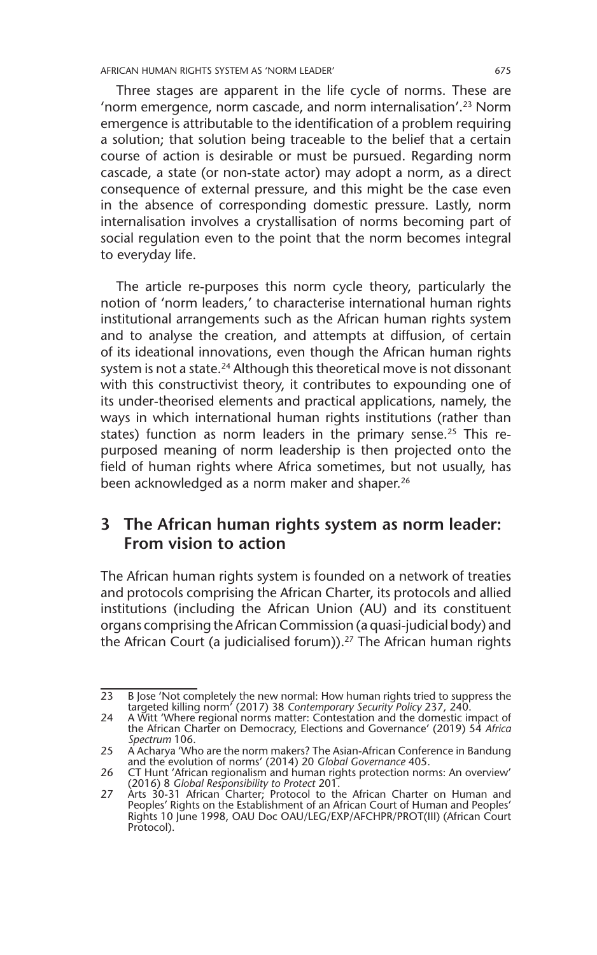Three stages are apparent in the life cycle of norms. These are 'norm emergence, norm cascade, and norm internalisation'.23 Norm emergence is attributable to the identification of a problem requiring a solution; that solution being traceable to the belief that a certain course of action is desirable or must be pursued. Regarding norm cascade, a state (or non-state actor) may adopt a norm, as a direct consequence of external pressure, and this might be the case even in the absence of corresponding domestic pressure. Lastly, norm internalisation involves a crystallisation of norms becoming part of social regulation even to the point that the norm becomes integral to everyday life.

The article re-purposes this norm cycle theory, particularly the notion of 'norm leaders,' to characterise international human rights institutional arrangements such as the African human rights system and to analyse the creation, and attempts at diffusion, of certain of its ideational innovations, even though the African human rights system is not a state.<sup>24</sup> Although this theoretical move is not dissonant with this constructivist theory, it contributes to expounding one of its under-theorised elements and practical applications, namely, the ways in which international human rights institutions (rather than states) function as norm leaders in the primary sense.<sup>25</sup> This repurposed meaning of norm leadership is then projected onto the field of human rights where Africa sometimes, but not usually, has been acknowledged as a norm maker and shaper.<sup>26</sup>

## **3 The African human rights system as norm leader: From vision to action**

The African human rights system is founded on a network of treaties and protocols comprising the African Charter, its protocols and allied institutions (including the African Union (AU) and its constituent organs comprising the African Commission (a quasi-judicial body) and the African Court (a judicialised forum)).<sup>27</sup> The African human rights

<sup>23</sup> B Jose 'Not completely the new normal: How human rights tried to suppress the targeted killing norm' (2017) 38 *Contemporary Security Policy* 237, 240.

<sup>24</sup> A Witt 'Where regional norms matter: Contestation and the domestic impact of the African Charter on Democracy, Elections and Governance' (2019) 54 *Africa Spectrum* 106.

<sup>25</sup> A Acharya 'Who are the norm makers? The Asian-African Conference in Bandung and the evolution of norms' (2014) 20 *Global Governance* 405.

<sup>26</sup> CT Hunt 'African regionalism and human rights protection norms: An overview' (2016) 8 *Global Responsibility to Protect* 201. 27 Arts 30-31 African Charter; Protocol to the African Charter on Human and

Peoples' Rights on the Establishment of an African Court of Human and Peoples' Rights 10 June 1998, OAU Doc OAU/LEG/EXP/AFCHPR/PROT(III) (African Court Protocol).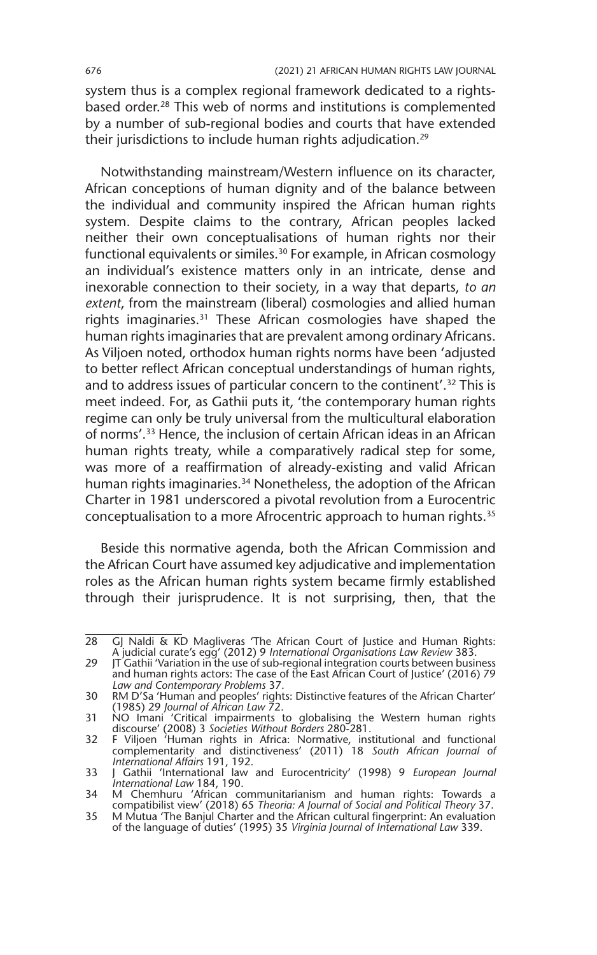system thus is a complex regional framework dedicated to a rightsbased order.28 This web of norms and institutions is complemented by a number of sub-regional bodies and courts that have extended their jurisdictions to include human rights adjudication.29

Notwithstanding mainstream/Western influence on its character, African conceptions of human dignity and of the balance between the individual and community inspired the African human rights system. Despite claims to the contrary, African peoples lacked neither their own conceptualisations of human rights nor their functional equivalents or similes.30 For example, in African cosmology an individual's existence matters only in an intricate, dense and inexorable connection to their society, in a way that departs, *to an extent*, from the mainstream (liberal) cosmologies and allied human rights imaginaries.31 These African cosmologies have shaped the human rights imaginaries that are prevalent among ordinary Africans. As Viljoen noted, orthodox human rights norms have been 'adjusted to better reflect African conceptual understandings of human rights, and to address issues of particular concern to the continent'.32 This is meet indeed. For, as Gathii puts it, 'the contemporary human rights regime can only be truly universal from the multicultural elaboration of norms'.33 Hence, the inclusion of certain African ideas in an African human rights treaty, while a comparatively radical step for some, was more of a reaffirmation of already-existing and valid African human rights imaginaries.<sup>34</sup> Nonetheless, the adoption of the African Charter in 1981 underscored a pivotal revolution from a Eurocentric conceptualisation to a more Afrocentric approach to human rights.35

Beside this normative agenda, both the African Commission and the African Court have assumed key adjudicative and implementation roles as the African human rights system became firmly established through their jurisprudence. It is not surprising, then, that the

<sup>28</sup> GJ Naldi & KD Magliveras 'The African Court of Justice and Human Rights: A judicial curate's egg' (2012) 9 *International Organisations Law Review* 383.

<sup>29</sup> JT Gathii 'Variation in the use of sub-regional integration courts between business and human rights actors: The case of the East African Court of Justice' (2016) 79 *Law and Contemporary Problems* 37.

<sup>30</sup> RM D'Sa 'Human and peoples' rights: Distinctive features of the African Charter' (1985) 29 *Journal of African Law* 72.

<sup>31</sup> NO Imani 'Critical impairments to globalising the Western human rights discourse' (2008) 3 *Societies Without Borders* 280-281.

<sup>32</sup> F Viljoen 'Human rights in Africa: Normative, institutional and functional complementarity and distinctiveness' (2011) 18 *South African Journal of International Affairs* 191, 192.

<sup>33</sup> J Gathii 'International law and Eurocentricity' (1998) 9 *European Journal International Law* 184, 190.

<sup>34</sup> M Chemhuru 'African communitarianism and human rights: Towards a compatibilist view' (2018) 65 *Theoria: A Journal of Social and Political Theory* 37.

<sup>35</sup> M Mutua 'The Banjul Charter and the African cultural fingerprint: An evaluation of the language of duties' (1995) 35 *Virginia Journal of International Law* 339.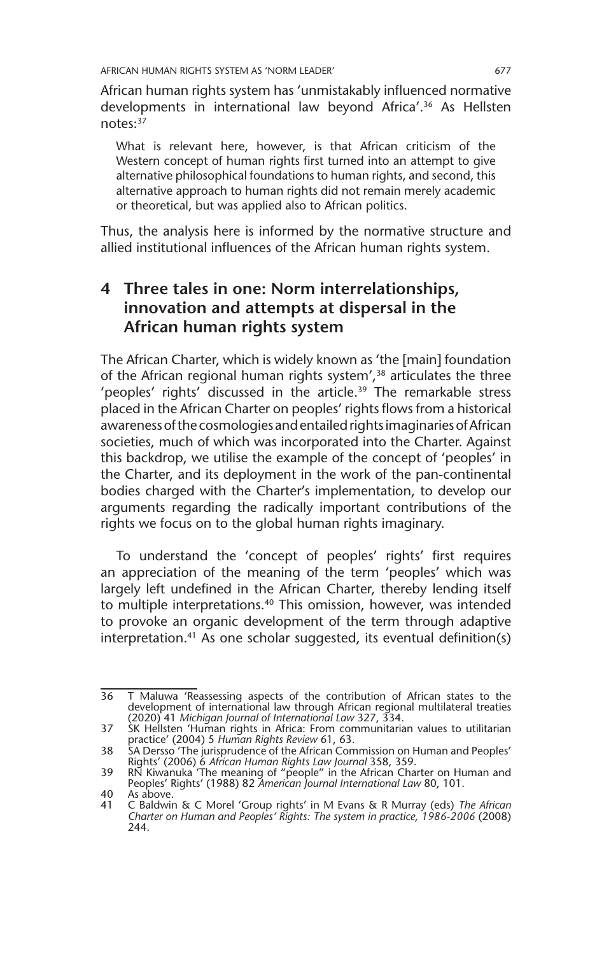African human rights system has 'unmistakably influenced normative developments in international law beyond Africa'.36 As Hellsten notes:37

What is relevant here, however, is that African criticism of the Western concept of human rights first turned into an attempt to give alternative philosophical foundations to human rights, and second, this alternative approach to human rights did not remain merely academic or theoretical, but was applied also to African politics.

Thus, the analysis here is informed by the normative structure and allied institutional influences of the African human rights system.

## **4 Three tales in one: Norm interrelationships, innovation and attempts at dispersal in the African human rights system**

The African Charter, which is widely known as 'the [main] foundation of the African regional human rights system',<sup>38</sup> articulates the three 'peoples' rights' discussed in the article.<sup>39</sup> The remarkable stress placed in the African Charter on peoples' rights flows from a historical awareness of the cosmologies and entailed rights imaginaries of African societies, much of which was incorporated into the Charter. Against this backdrop, we utilise the example of the concept of 'peoples' in the Charter, and its deployment in the work of the pan-continental bodies charged with the Charter's implementation, to develop our arguments regarding the radically important contributions of the rights we focus on to the global human rights imaginary.

To understand the 'concept of peoples' rights' first requires an appreciation of the meaning of the term 'peoples' which was largely left undefined in the African Charter, thereby lending itself to multiple interpretations.<sup>40</sup> This omission, however, was intended to provoke an organic development of the term through adaptive interpretation.<sup>41</sup> As one scholar suggested, its eventual definition(s)

<sup>36</sup> T Maluwa 'Reassessing aspects of the contribution of African states to the development of international law through African regional multilateral treaties (2020) 41 *Michigan Journal of International Law* 327, 334.

<sup>37</sup> SK Hellsten 'Human rights in Africa: From communitarian values to utilitarian practice' (2004) 5 *Human Rights Review* 61, 63.

<sup>38</sup> SA Dersso 'The jurisprudence of the African Commission on Human and Peoples' Rights' (2006) 6 *African Human Rights Law Journal* 358, 359.

<sup>39</sup> RN Kiwanuka 'The meaning of "people" in the African Charter on Human and Peoples' Rights' (1988) 82 *American Journal International Law* 80, 101.

<sup>40</sup> As above.<br>41 C Baldwir

<sup>41</sup> C Baldwin & C Morel 'Group rights' in M Evans & R Murray (eds) *The African Charter on Human and Peoples' Rights: The system in practice, 1986-2006* (2008) 244.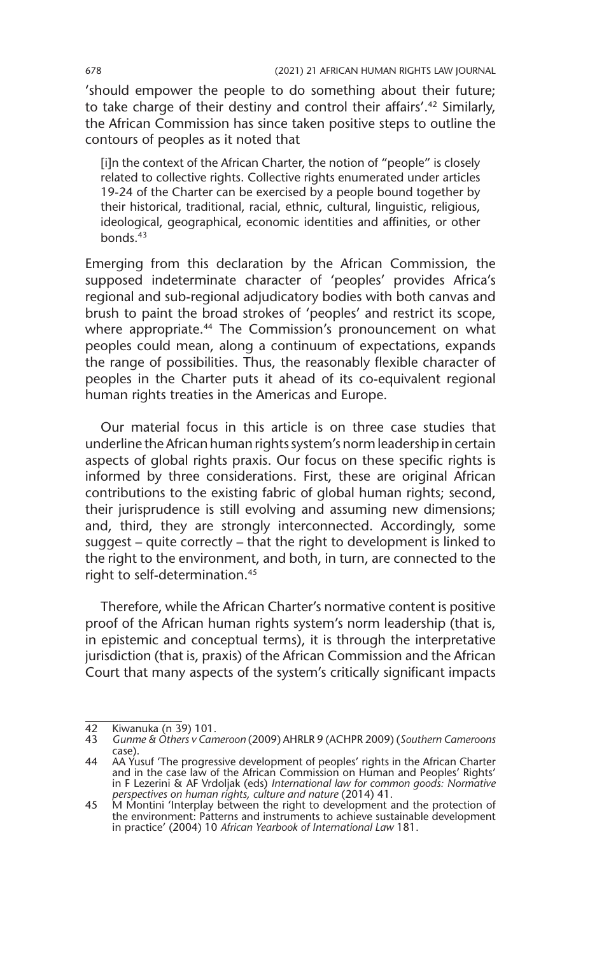'should empower the people to do something about their future; to take charge of their destiny and control their affairs'.<sup>42</sup> Similarly, the African Commission has since taken positive steps to outline the contours of peoples as it noted that

[i]n the context of the African Charter, the notion of "people" is closely related to collective rights. Collective rights enumerated under articles 19-24 of the Charter can be exercised by a people bound together by their historical, traditional, racial, ethnic, cultural, linguistic, religious, ideological, geographical, economic identities and affinities, or other bonds.43

Emerging from this declaration by the African Commission, the supposed indeterminate character of 'peoples' provides Africa's regional and sub-regional adjudicatory bodies with both canvas and brush to paint the broad strokes of 'peoples' and restrict its scope, where appropriate.<sup>44</sup> The Commission's pronouncement on what peoples could mean, along a continuum of expectations, expands the range of possibilities. Thus, the reasonably flexible character of peoples in the Charter puts it ahead of its co-equivalent regional human rights treaties in the Americas and Europe.

Our material focus in this article is on three case studies that underline the African human rights system's norm leadership in certain aspects of global rights praxis. Our focus on these specific rights is informed by three considerations. First, these are original African contributions to the existing fabric of global human rights; second, their jurisprudence is still evolving and assuming new dimensions; and, third, they are strongly interconnected. Accordingly, some suggest – quite correctly – that the right to development is linked to the right to the environment, and both, in turn, are connected to the right to self-determination.45

Therefore, while the African Charter's normative content is positive proof of the African human rights system's norm leadership (that is, in epistemic and conceptual terms), it is through the interpretative jurisdiction (that is, praxis) of the African Commission and the African Court that many aspects of the system's critically significant impacts

<sup>42</sup> Kiwanuka (n 39) 101.<br>43 Gunme & Others v Can

<sup>43</sup> *Gunme & Others v Cameroon* (2009) AHRLR 9 (ACHPR 2009) (*Southern Cameroons* case).

<sup>44</sup> AA Yusuf 'The progressive development of peoples' rights in the African Charter and in the case law of the African Commission on Human and Peoples' Rights' in F Lezerini & AF Vrdoljak (eds) *International law for common goods: Normative perspectives on human rights, culture and nature* (2014) 41.

<sup>45</sup> M Montini 'Interplay between the right to development and the protection of the environment: Patterns and instruments to achieve sustainable development in practice' (2004) 10 *African Yearbook of International Law* 181.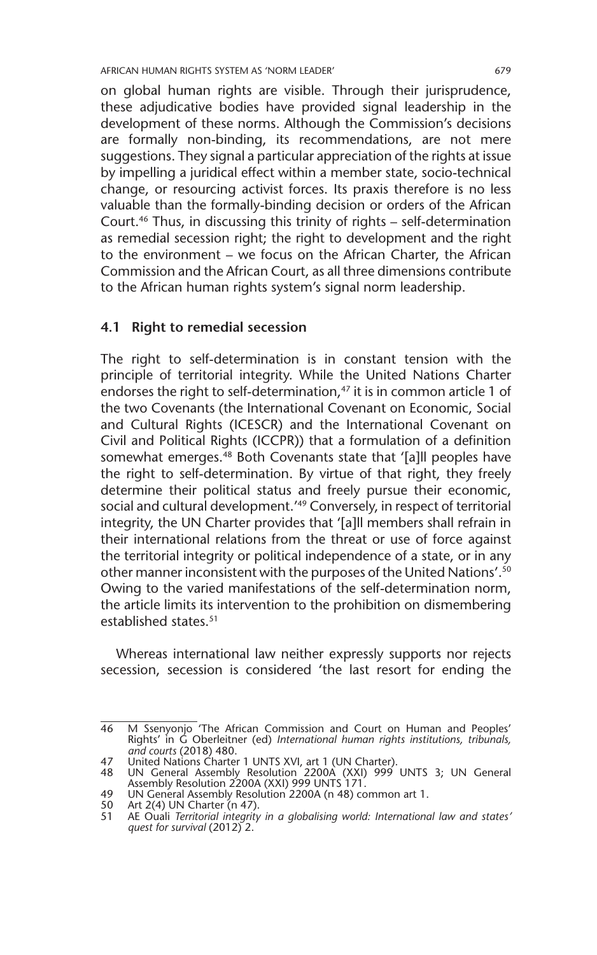AFRICAN HUMAN RIGHTS SYSTEM AS 'NORM LEADER' 679

on global human rights are visible. Through their jurisprudence, these adjudicative bodies have provided signal leadership in the development of these norms. Although the Commission's decisions are formally non-binding, its recommendations, are not mere suggestions. They signal a particular appreciation of the rights at issue by impelling a juridical effect within a member state, socio-technical change, or resourcing activist forces. Its praxis therefore is no less valuable than the formally-binding decision or orders of the African Court.46 Thus, in discussing this trinity of rights – self-determination as remedial secession right; the right to development and the right to the environment – we focus on the African Charter, the African Commission and the African Court, as all three dimensions contribute to the African human rights system's signal norm leadership.

#### **4.1 Right to remedial secession**

The right to self-determination is in constant tension with the principle of territorial integrity. While the United Nations Charter endorses the right to self-determination,<sup>47</sup> it is in common article 1 of the two Covenants (the International Covenant on Economic, Social and Cultural Rights (ICESCR) and the International Covenant on Civil and Political Rights (ICCPR)) that a formulation of a definition somewhat emerges.<sup>48</sup> Both Covenants state that '[a]ll peoples have the right to self-determination. By virtue of that right, they freely determine their political status and freely pursue their economic, social and cultural development.'49 Conversely, in respect of territorial integrity, the UN Charter provides that '[a]ll members shall refrain in their international relations from the threat or use of force against the territorial integrity or political independence of a state, or in any other manner inconsistent with the purposes of the United Nations'.50 Owing to the varied manifestations of the self-determination norm, the article limits its intervention to the prohibition on dismembering established states.<sup>51</sup>

Whereas international law neither expressly supports nor rejects secession, secession is considered 'the last resort for ending the

<sup>46</sup> M Ssenyonjo 'The African Commission and Court on Human and Peoples' Rights' in G Oberleitner (ed) *International human rights institutions, tribunals, and courts* (2018) 480.

<sup>47</sup> United Nations Charter 1 UNTS XVI, art 1 (UN Charter).

<sup>48</sup> UN General Assembly Resolution 2200A (XXI) 999 UNTS 3; UN General Assembly Resolution 2200A (XXI) 999 UNTS 171.

<sup>49</sup> UN General Assembly Resolution 2200A (n 48) common art 1.

<sup>50</sup> Art 2(4) UN Charter (n 47).<br>51 AE Quali Territorial integrity

<sup>51</sup> AE Ouali *Territorial integrity in a globalising world: International law and states' quest for survival* (2012) 2.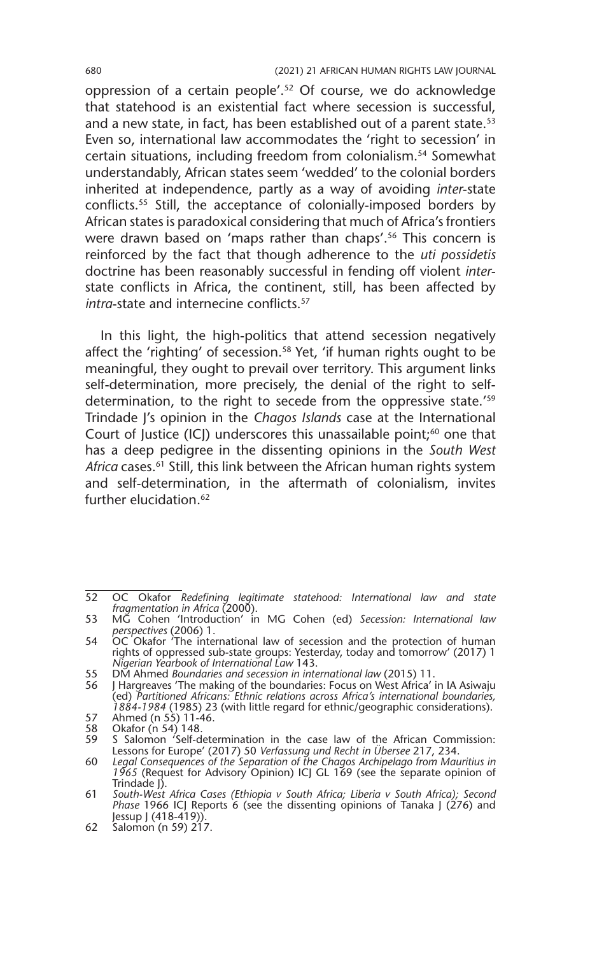oppression of a certain people'.52 Of course, we do acknowledge that statehood is an existential fact where secession is successful, and a new state, in fact, has been established out of a parent state.<sup>53</sup> Even so, international law accommodates the 'right to secession' in certain situations, including freedom from colonialism.54 Somewhat understandably, African states seem 'wedded' to the colonial borders inherited at independence, partly as a way of avoiding *inter*-state conflicts.55 Still, the acceptance of colonially-imposed borders by African states is paradoxical considering that much of Africa's frontiers were drawn based on 'maps rather than chaps'.<sup>56</sup> This concern is reinforced by the fact that though adherence to the *uti possidetis* doctrine has been reasonably successful in fending off violent *inter*state conflicts in Africa, the continent, still, has been affected by *intra-state and internecine conflicts.<sup>57</sup>* 

In this light, the high-politics that attend secession negatively affect the 'righting' of secession.<sup>58</sup> Yet, 'if human rights ought to be meaningful, they ought to prevail over territory. This argument links self-determination, more precisely, the denial of the right to selfdetermination, to the right to secede from the oppressive state.<sup>'59</sup> Trindade J's opinion in the *Chagos Islands* case at the International Court of Justice (ICJ) underscores this unassailable point; $60$  one that has a deep pedigree in the dissenting opinions in the *South West Africa* cases.61 Still, this link between the African human rights system and self-determination, in the aftermath of colonialism, invites further elucidation.<sup>62</sup>

57 Ahmed (n 55) 11-46.

<sup>52</sup> OC Okafor *Redefining legitimate statehood: International law and state fragmentation in Africa* (2000).

<sup>53</sup> MG Cohen 'Introduction' in MG Cohen (ed) *Secession: International law perspectives* (2006) 1.

<sup>54</sup> OC Okafor 'The international law of secession and the protection of human rights of oppressed sub-state groups: Yesterday, today and tomorrow' (2017) 1 *Nigerian Yearbook of International Law* 143.

<sup>55</sup> DM Ahmed *Boundaries and secession in international law* (2015) 11.

<sup>56</sup> J Hargreaves 'The making of the boundaries: Focus on West Africa' in IA Asiwaju (ed) *Partitioned Africans: Ethnic relations across Africa's international boundaries, 1884-1984* (1985) 23 (with little regard for ethnic/geographic considerations).

<sup>58</sup> Okafor (n 54) 148.<br>59 S Salomon 'Self-d 59 S Salomon 'Self-determination in the case law of the African Commission: Lessons for Europe' (2017) 50 *Verfassung und Recht in Übersee* 217, 234.

<sup>60</sup> *Legal Consequences of the Separation of the Chagos Archipelago from Mauritius in 1965* (Request for Advisory Opinion) ICJ GL 169 (see the separate opinion of Trindade J).

<sup>61</sup> *South-West Africa Cases (Ethiopia v South Africa; Liberia v South Africa); Second Phase* 1966 ICJ Reports 6 (see the dissenting opinions of Tanaka J (276) and Jessup J (418-419)).

<sup>62</sup> Salomon (n 59) 217.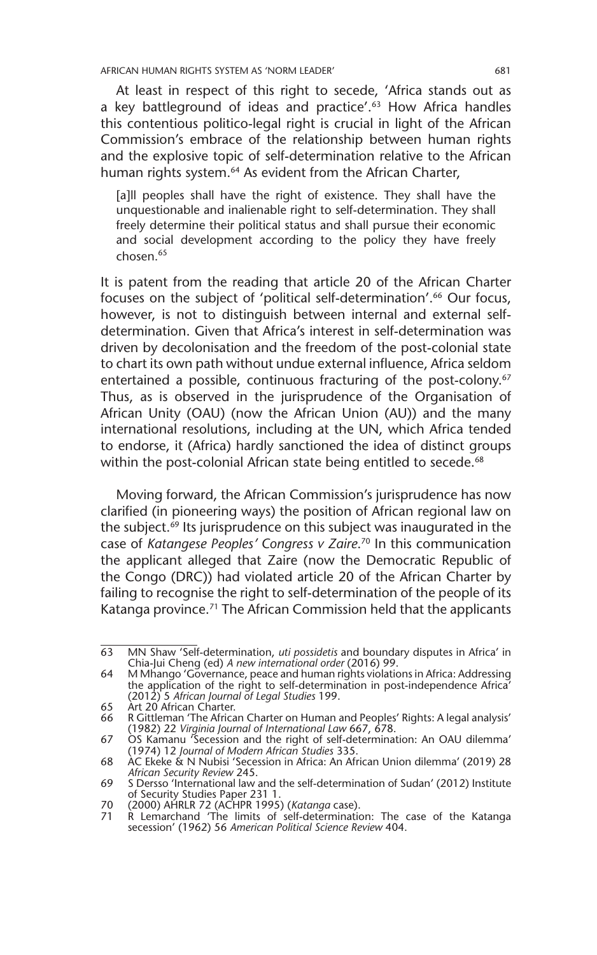AFRICAN HUMAN RIGHTS SYSTEM AS 'NORM LEADER' 681

At least in respect of this right to secede, 'Africa stands out as a key battleground of ideas and practice'.<sup>63</sup> How Africa handles this contentious politico-legal right is crucial in light of the African Commission's embrace of the relationship between human rights and the explosive topic of self-determination relative to the African human rights system.<sup>64</sup> As evident from the African Charter,

[a]ll peoples shall have the right of existence. They shall have the unquestionable and inalienable right to self-determination. They shall freely determine their political status and shall pursue their economic and social development according to the policy they have freely chosen.65

It is patent from the reading that article 20 of the African Charter focuses on the subject of 'political self-determination'.<sup>66</sup> Our focus, however, is not to distinguish between internal and external selfdetermination. Given that Africa's interest in self-determination was driven by decolonisation and the freedom of the post-colonial state to chart its own path without undue external influence, Africa seldom entertained a possible, continuous fracturing of the post-colony.<sup>67</sup> Thus, as is observed in the jurisprudence of the Organisation of African Unity (OAU) (now the African Union (AU)) and the many international resolutions, including at the UN, which Africa tended to endorse, it (Africa) hardly sanctioned the idea of distinct groups within the post-colonial African state being entitled to secede.<sup>68</sup>

Moving forward, the African Commission's jurisprudence has now clarified (in pioneering ways) the position of African regional law on the subject.69 Its jurisprudence on this subject was inaugurated in the case of *Katangese Peoples' Congress v Zaire*. 70 In this communication the applicant alleged that Zaire (now the Democratic Republic of the Congo (DRC)) had violated article 20 of the African Charter by failing to recognise the right to self-determination of the people of its Katanga province.<sup>71</sup> The African Commission held that the applicants

<sup>63</sup> MN Shaw 'Self-determination, *uti possidetis* and boundary disputes in Africa' in Chia-Jui Cheng (ed) *A new international order* (2016) 99.

<sup>64</sup> M Mhango 'Governance, peace and human rights violations in Africa: Addressing the application of the right to self-determination in post-independence Africa' (2012) 5 *African Journal of Legal Studies* 199.

<sup>65</sup> Art 20 African Charter.

<sup>66</sup> R Gittleman 'The African Charter on Human and Peoples' Rights: A legal analysis' (1982) 22 *Virginia Journal of International Law* 667, 678.

<sup>67</sup> OS Kamanu 'Secession and the right of self-determination: An OAU dilemma' (1974) 12 *Journal of Modern African Studies* 335.

<sup>68</sup> AC Ekeke & N Nubisi 'Secession in Africa: An African Union dilemma' (2019) 28 *African Security Review* 245.

<sup>69</sup> S Dersso 'International law and the self-determination of Sudan' (2012) Institute of Security Studies Paper 231 1.

<sup>70</sup> (2000) AHRLR 72 (ACHPR 1995) (*Katanga* case).

<sup>71</sup> R Lemarchand 'The limits of self-determination: The case of the Katanga secession' (1962) 56 *American Political Science Review* 404.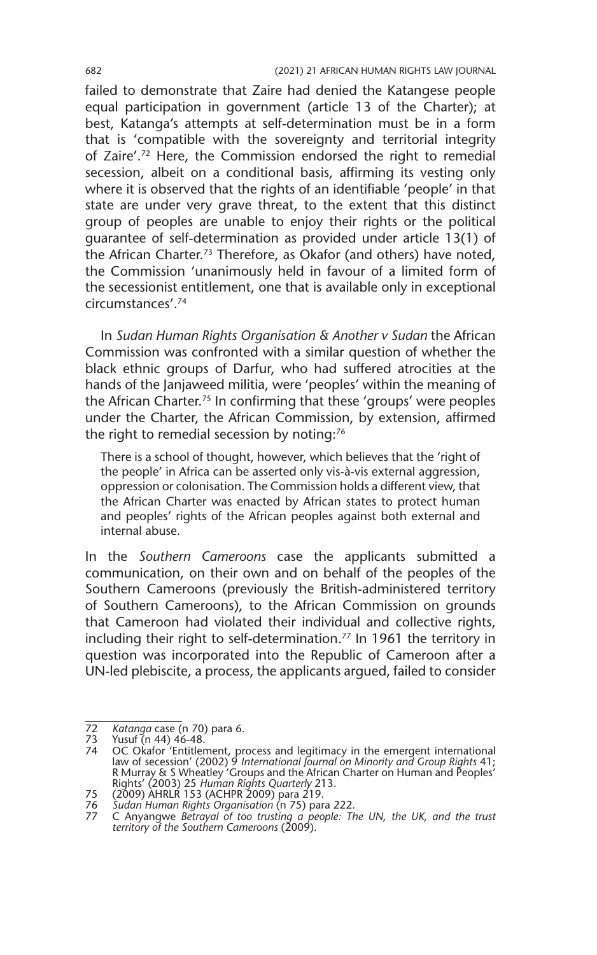failed to demonstrate that Zaire had denied the Katangese people equal participation in government (article 13 of the Charter); at best, Katanga's attempts at self-determination must be in a form that is 'compatible with the sovereignty and territorial integrity of Zaire'.72 Here, the Commission endorsed the right to remedial secession, albeit on a conditional basis, affirming its vesting only where it is observed that the rights of an identifiable 'people' in that state are under very grave threat, to the extent that this distinct group of peoples are unable to enjoy their rights or the political guarantee of self-determination as provided under article 13(1) of the African Charter.<sup>73</sup> Therefore, as Okafor (and others) have noted. the Commission 'unanimously held in favour of a limited form of the secessionist entitlement, one that is available only in exceptional circumstances'.74

In *Sudan Human Rights Organisation & Another v Sudan* the African Commission was confronted with a similar question of whether the black ethnic groups of Darfur, who had suffered atrocities at the hands of the Janjaweed militia, were 'peoples' within the meaning of the African Charter.75 In confirming that these 'groups' were peoples under the Charter, the African Commission, by extension, affirmed the right to remedial secession by noting:76

There is a school of thought, however, which believes that the 'right of the people' in Africa can be asserted only vis-à-vis external aggression, oppression or colonisation. The Commission holds a different view, that the African Charter was enacted by African states to protect human and peoples' rights of the African peoples against both external and internal abuse.

In the *Southern Cameroons* case the applicants submitted a communication, on their own and on behalf of the peoples of the Southern Cameroons (previously the British-administered territory of Southern Cameroons), to the African Commission on grounds that Cameroon had violated their individual and collective rights, including their right to self-determination.<sup>77</sup> In 1961 the territory in question was incorporated into the Republic of Cameroon after a UN-led plebiscite, a process, the applicants argued, failed to consider

<sup>72</sup> *Katanga* case (n 70) para 6.

<sup>73</sup> Yusuf (n 44) 46-48.

<sup>74</sup> OC Okafor 'Entitlement, process and legitimacy in the emergent international law of secession' (2002) 9 *International Journal on Minority and Group Rights* 41; R Murray & S Wheatley 'Groups and the African Charter on Human and Peoples' Rights' (2003) 25 *Human Rights Quarterly* 213. 75 (2009) AHRLR 153 (ACHPR 2009) para 219.

<sup>76</sup> *Sudan Human Rights Organisation* (n 75) para 222. 77 C Anyangwe *Betrayal of too trusting a people: The UN, the UK, and the trust territory of the Southern Cameroons* (2009).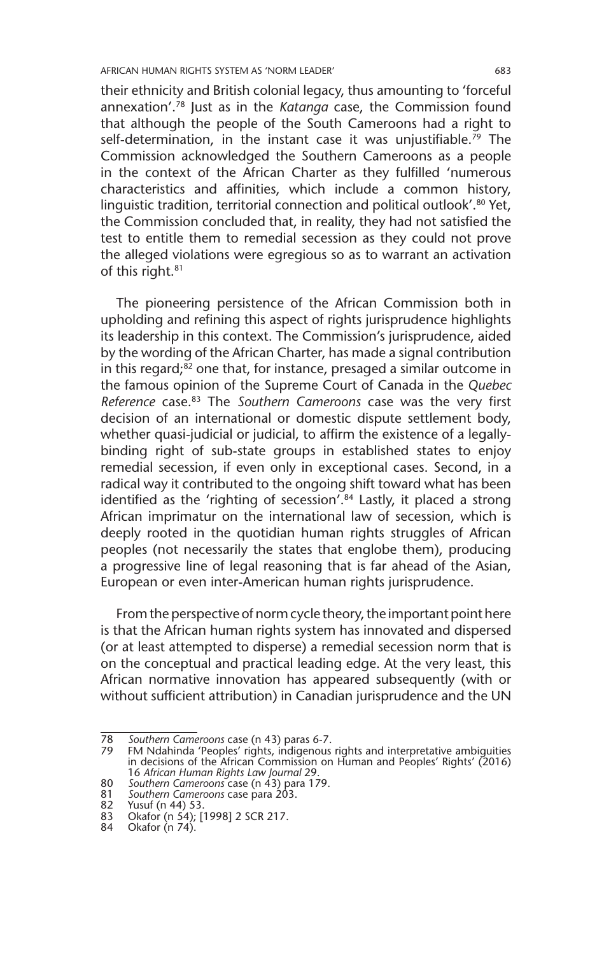their ethnicity and British colonial legacy, thus amounting to 'forceful annexation'.78 Just as in the *Katanga* case, the Commission found that although the people of the South Cameroons had a right to self-determination, in the instant case it was unjustifiable.<sup>79</sup> The Commission acknowledged the Southern Cameroons as a people in the context of the African Charter as they fulfilled 'numerous characteristics and affinities, which include a common history, linguistic tradition, territorial connection and political outlook'.<sup>80</sup> Yet, the Commission concluded that, in reality, they had not satisfied the test to entitle them to remedial secession as they could not prove the alleged violations were egregious so as to warrant an activation of this right.<sup>81</sup>

The pioneering persistence of the African Commission both in upholding and refining this aspect of rights jurisprudence highlights its leadership in this context. The Commission's jurisprudence, aided by the wording of the African Charter, has made a signal contribution in this regard; $82$  one that, for instance, presaged a similar outcome in the famous opinion of the Supreme Court of Canada in the *Quebec Reference* case.83 The *Southern Cameroons* case was the very first decision of an international or domestic dispute settlement body, whether quasi-judicial or judicial, to affirm the existence of a legallybinding right of sub-state groups in established states to enjoy remedial secession, if even only in exceptional cases. Second, in a radical way it contributed to the ongoing shift toward what has been identified as the 'righting of secession'.<sup>84</sup> Lastly, it placed a strong African imprimatur on the international law of secession, which is deeply rooted in the quotidian human rights struggles of African peoples (not necessarily the states that englobe them), producing a progressive line of legal reasoning that is far ahead of the Asian, European or even inter-American human rights jurisprudence.

From the perspective of norm cycle theory, the important point here is that the African human rights system has innovated and dispersed (or at least attempted to disperse) a remedial secession norm that is on the conceptual and practical leading edge. At the very least, this African normative innovation has appeared subsequently (with or without sufficient attribution) in Canadian jurisprudence and the UN

<sup>78</sup> *Southern Cameroons* case (n 43) paras 6-7.

<sup>79</sup> FM Ndahinda 'Peoples' rights, indigenous rights and interpretative ambiguities in decisions of the African Commission on Human and Peoples' Rights' (2016) 16 *African Human Rights Law Journal* 29. 80 *Southern Cameroons* case (n 43) para 179.

<sup>81</sup> *Southern Cameroons* case para 203.

<sup>82</sup> Yusuf (n 44) 53.<br>83 Okafor (n 54): [1

Okafor (n 54); [1998] 2 SCR 217.

<sup>84</sup> Okafor (n 74).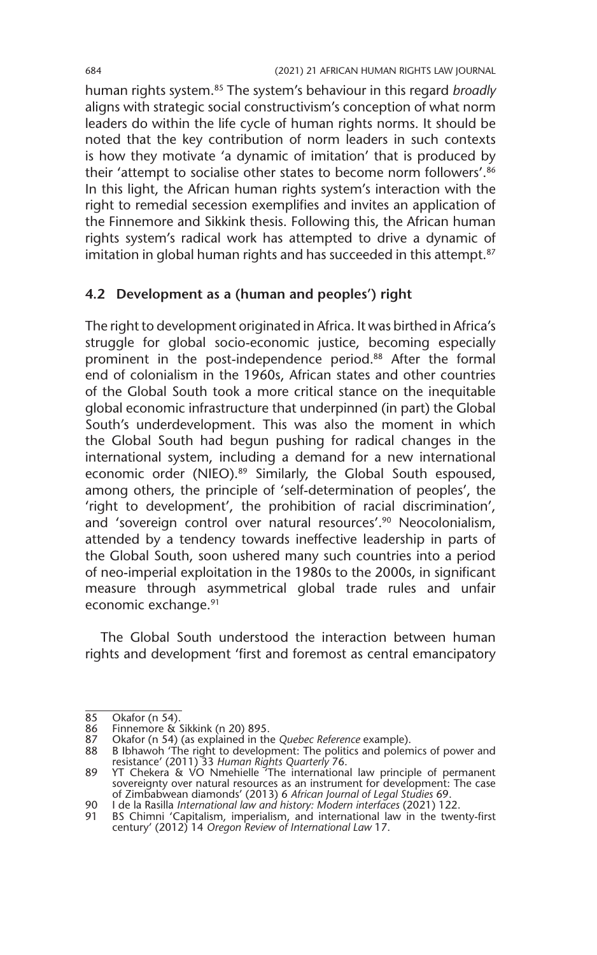human rights system.<sup>85</sup> The system's behaviour in this regard *broadly* aligns with strategic social constructivism's conception of what norm leaders do within the life cycle of human rights norms. It should be noted that the key contribution of norm leaders in such contexts is how they motivate 'a dynamic of imitation' that is produced by their 'attempt to socialise other states to become norm followers'.86 In this light, the African human rights system's interaction with the right to remedial secession exemplifies and invites an application of the Finnemore and Sikkink thesis. Following this, the African human rights system's radical work has attempted to drive a dynamic of imitation in global human rights and has succeeded in this attempt.<sup>87</sup>

#### **4.2 Development as a (human and peoples') right**

The right to development originated in Africa. It was birthed in Africa's struggle for global socio-economic justice, becoming especially prominent in the post-independence period.<sup>88</sup> After the formal end of colonialism in the 1960s, African states and other countries of the Global South took a more critical stance on the inequitable global economic infrastructure that underpinned (in part) the Global South's underdevelopment. This was also the moment in which the Global South had begun pushing for radical changes in the international system, including a demand for a new international economic order (NIEO).<sup>89</sup> Similarly, the Global South espoused, among others, the principle of 'self-determination of peoples', the 'right to development', the prohibition of racial discrimination', and 'sovereign control over natural resources'.<sup>90</sup> Neocolonialism, attended by a tendency towards ineffective leadership in parts of the Global South, soon ushered many such countries into a period of neo-imperial exploitation in the 1980s to the 2000s, in significant measure through asymmetrical global trade rules and unfair economic exchange.<sup>91</sup>

The Global South understood the interaction between human rights and development 'first and foremost as central emancipatory

<sup>85</sup> Okafor (n 54).<br>86 Finnemore &

<sup>86</sup> Finnemore  $\&$  Sikkink (n 20) 895.<br>87 Dkafor (n 54) (as explained in the

<sup>87</sup> Okafor (n 54) (as explained in the *Quebec Reference* example).

<sup>88</sup> B Ibhawoh 'The right to development: The politics and polemics of power and resistance' (2011) 33 *Human Rights Quarterly* 76.

<sup>89</sup> YT Chekera & VO Nmehielle The international law principle of permanent sovereignty over natural resources as an instrument for development: The case of Zimbabwean diamonds' (2013) 6 African Journal of Legal Studies 69.

<sup>90</sup> I de la Rasilla *International law and history: Modern interfaces* (2021) 122.

<sup>91</sup> BS Chimni 'Capitalism, imperialism, and international law in the twenty-first century' (2012) 14 *Oregon Review of International Law* 17.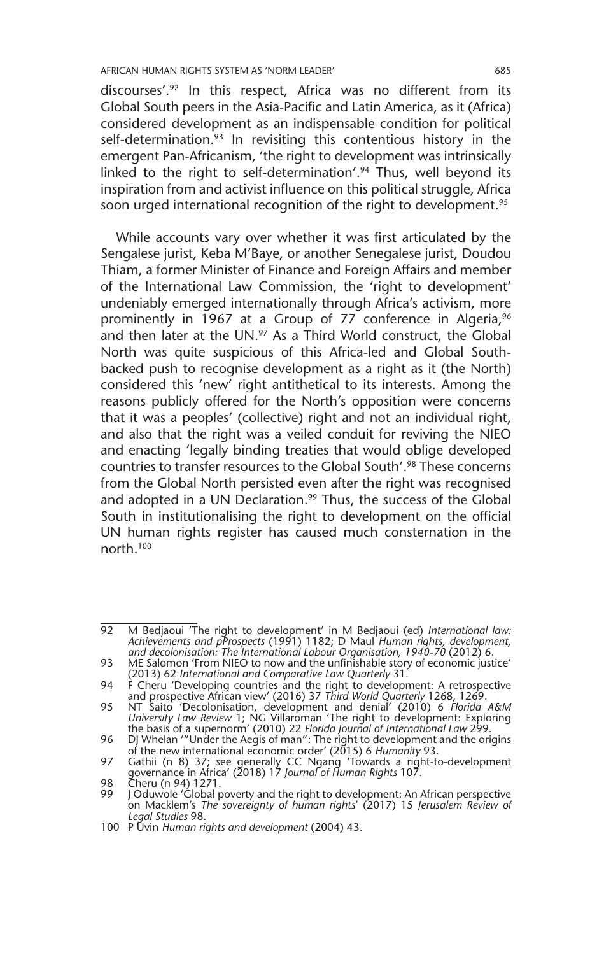discourses'.92 In this respect, Africa was no different from its Global South peers in the Asia-Pacific and Latin America, as it (Africa) considered development as an indispensable condition for political self-determination.<sup>93</sup> In revisiting this contentious history in the emergent Pan-Africanism, 'the right to development was intrinsically linked to the right to self-determination'.<sup>94</sup> Thus, well beyond its inspiration from and activist influence on this political struggle, Africa soon urged international recognition of the right to development.<sup>95</sup>

While accounts vary over whether it was first articulated by the Sengalese jurist, Keba M'Baye, or another Senegalese jurist, Doudou Thiam, a former Minister of Finance and Foreign Affairs and member of the International Law Commission, the 'right to development' undeniably emerged internationally through Africa's activism, more prominently in 1967 at a Group of 77 conference in Algeria,<sup>96</sup> and then later at the UN.<sup>97</sup> As a Third World construct, the Global North was quite suspicious of this Africa-led and Global Southbacked push to recognise development as a right as it (the North) considered this 'new' right antithetical to its interests. Among the reasons publicly offered for the North's opposition were concerns that it was a peoples' (collective) right and not an individual right, and also that the right was a veiled conduit for reviving the NIEO and enacting 'legally binding treaties that would oblige developed countries to transfer resources to the Global South'.98 These concerns from the Global North persisted even after the right was recognised and adopted in a UN Declaration.<sup>99</sup> Thus, the success of the Global South in institutionalising the right to development on the official UN human rights register has caused much consternation in the north.100

<sup>92</sup> M Bedjaoui 'The right to development' in M Bedjaoui (ed) *International law: Achievements and pProspects* (1991) 1182; D Maul *Human rights, development, and decolonisation: The International Labour Organisation, 1940-70* (2012) 6.

<sup>93</sup> ME Salomon 'From NIEO to now and the unfinishable story of economic justice' (2013) 62 *International and Comparative Law Quarterly* 31.

<sup>94</sup> F Cheru 'Developing countries and the right to development: A retrospective and prospective African view' (2016) 37 *Third World Quarterly* 1268, 1269.

<sup>95</sup> NT Saito 'Decolonisation, development and denial' (2010) 6 *Florida A&M University Law Review* 1; NG Villaroman 'The right to development: Exploring the basis of a supernorm' (2010) 22 *Florida Journal of International Law* 299.

<sup>96</sup> DJ Whelan '"Under the Aegis of man": The right to development and the origins of the new international economic order' (2015) 6 *Humanity* 93.

<sup>97</sup> Gathii (n 8) 37; see generally CC Ngang 'Towards a right-to-development governance in Africa' (2018) 17 *Journal of Human Rights* 107. 98 Cheru (n 94) 1271.

<sup>99</sup> J Oduwole 'Global poverty and the right to development: An African perspective on Macklem's *The sovereignty of human rights*' (2017) 15 *Jerusalem Review of Legal Studies* 98.

<sup>100</sup> P Uvin *Human rights and development* (2004) 43.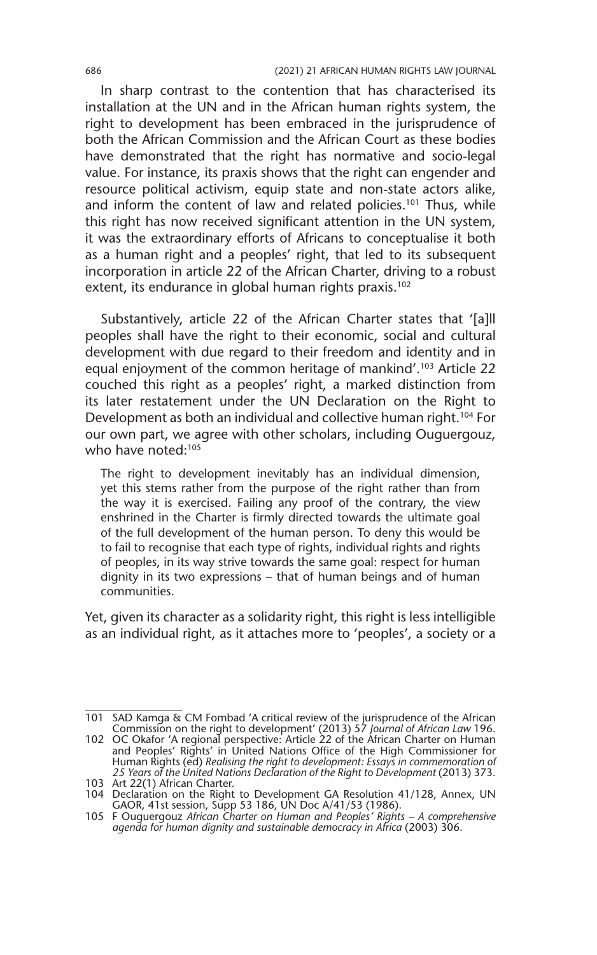In sharp contrast to the contention that has characterised its installation at the UN and in the African human rights system, the right to development has been embraced in the jurisprudence of both the African Commission and the African Court as these bodies have demonstrated that the right has normative and socio-legal value. For instance, its praxis shows that the right can engender and resource political activism, equip state and non-state actors alike, and inform the content of law and related policies.<sup>101</sup> Thus, while this right has now received significant attention in the UN system, it was the extraordinary efforts of Africans to conceptualise it both as a human right and a peoples' right, that led to its subsequent incorporation in article 22 of the African Charter, driving to a robust extent, its endurance in global human rights praxis.<sup>102</sup>

Substantively, article 22 of the African Charter states that '[a]ll peoples shall have the right to their economic, social and cultural development with due regard to their freedom and identity and in equal enjoyment of the common heritage of mankind'.<sup>103</sup> Article 22 couched this right as a peoples' right, a marked distinction from its later restatement under the UN Declaration on the Right to Development as both an individual and collective human right.<sup>104</sup> For our own part, we agree with other scholars, including Ouguergouz, who have noted:<sup>105</sup>

The right to development inevitably has an individual dimension, yet this stems rather from the purpose of the right rather than from the way it is exercised. Failing any proof of the contrary, the view enshrined in the Charter is firmly directed towards the ultimate goal of the full development of the human person. To deny this would be to fail to recognise that each type of rights, individual rights and rights of peoples, in its way strive towards the same goal: respect for human dignity in its two expressions – that of human beings and of human communities.

Yet, given its character as a solidarity right, this right is less intelligible as an individual right, as it attaches more to 'peoples', a society or a

<sup>101</sup> SAD Kamga & CM Fombad 'A critical review of the jurisprudence of the African Commission on the right to development' (2013) 57 *Journal of African Law* 196.

<sup>102</sup> OC Okafor 'A regional perspective: Article 22 of the African Charter on Human and Peoples' Rights' in United Nations Office of the High Commissioner for Human Rights (ed) *Realising the right to development: Essays in commemoration of 25 Years of the United Nations Declaration of the Right to Development* (2013) 373.

<sup>103</sup> Art 22(1) African Charter. 104 Declaration on the Right to Development GA Resolution 41/128, Annex, UN GAOR, 41st session, Supp 53 186, UN Doc A/41/53 (1986).

<sup>105</sup> F Ouguergouz *African Charter on Human and Peoples' Rights – A comprehensive agenda for human dignity and sustainable democracy in Africa* (2003) 306.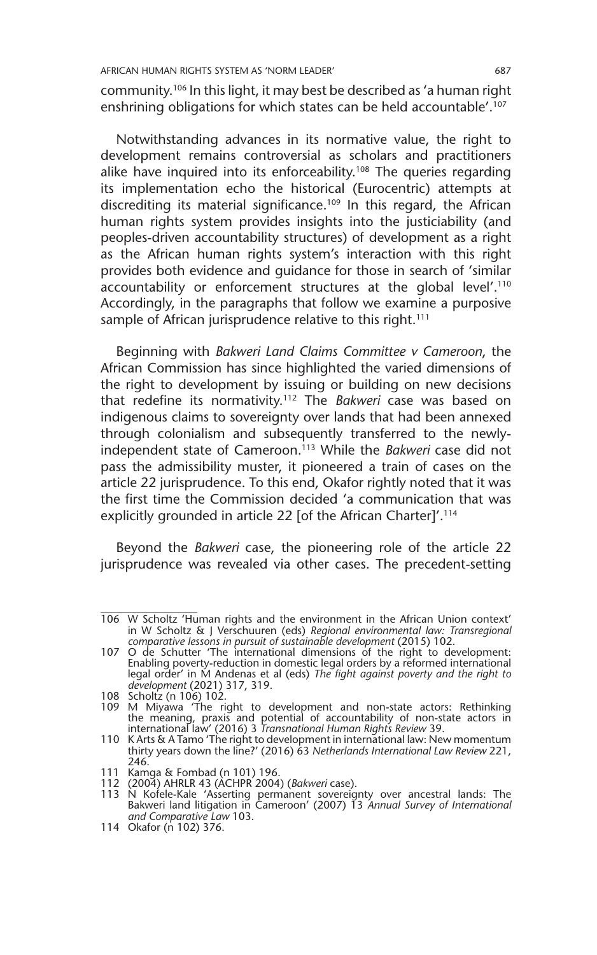community.106 In this light, it may best be described as 'a human right enshrining obligations for which states can be held accountable'.<sup>107</sup>

Notwithstanding advances in its normative value, the right to development remains controversial as scholars and practitioners alike have inquired into its enforceability.<sup>108</sup> The queries regarding its implementation echo the historical (Eurocentric) attempts at discrediting its material significance.<sup>109</sup> In this regard, the African human rights system provides insights into the justiciability (and peoples-driven accountability structures) of development as a right as the African human rights system's interaction with this right provides both evidence and guidance for those in search of 'similar accountability or enforcement structures at the global level'.<sup>110</sup> Accordingly, in the paragraphs that follow we examine a purposive sample of African jurisprudence relative to this right.<sup>111</sup>

Beginning with *Bakweri Land Claims Committee v Cameroon*, the African Commission has since highlighted the varied dimensions of the right to development by issuing or building on new decisions that redefine its normativity.112 The *Bakweri* case was based on indigenous claims to sovereignty over lands that had been annexed through colonialism and subsequently transferred to the newlyindependent state of Cameroon.113 While the *Bakweri* case did not pass the admissibility muster, it pioneered a train of cases on the article 22 jurisprudence. To this end, Okafor rightly noted that it was the first time the Commission decided 'a communication that was explicitly grounded in article 22 [of the African Charter]'.<sup>114</sup>

Beyond the *Bakweri* case, the pioneering role of the article 22 jurisprudence was revealed via other cases. The precedent-setting

108 Scholtz (n 106) 102.

- 
- 111 Kamga & Fombad (n 101) 196. 112 (2004) AHRLR 43 (ACHPR 2004) (*Bakweri* case). 113 N Kofele-Kale 'Asserting permanent sovereignty over ancestral lands: The Bakweri land litigation in Cameroon' (2007) 13 *Annual Survey of International and Comparative Law* 103.

<sup>106</sup> W Scholtz 'Human rights and the environment in the African Union context' in W Scholtz & J Verschuuren (eds) *Regional environmental law: Transregional comparative lessons in pursuit of sustainable development* (2015) 102.

<sup>107</sup> O de Schutter 'The international dimensions of the right to development: Enabling poverty-reduction in domestic legal orders by a reformed international legal order' in M Andenas et al (eds) *The fight against poverty and the right to development* (2021) 317, 319.

<sup>109</sup> M Miyawa 'The right to development and non-state actors: Rethinking the meaning, praxis and potential of accountability of non-state actors in international law' (2016) 3 *Transnational Human Rights Review* 39.

<sup>110</sup> K Arts & A Tamo 'The right to development in international law: New momentum thirty years down the line?' (2016) 63 *Netherlands International Law Review* 221, 246.

<sup>114</sup> Okafor (n 102) 376.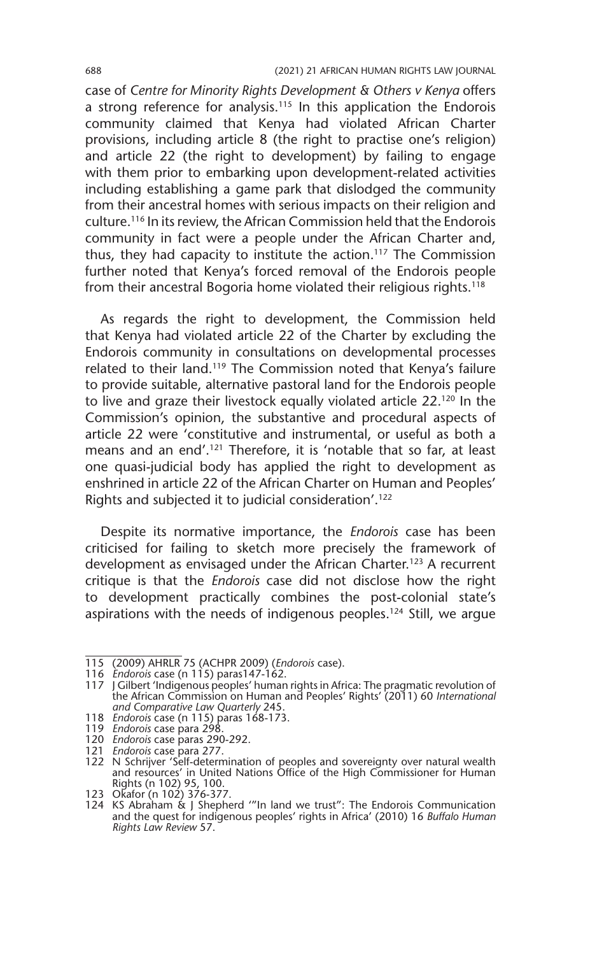case of *Centre for Minority Rights Development & Others v Kenya* offers a strong reference for analysis.<sup>115</sup> In this application the Endorois community claimed that Kenya had violated African Charter provisions, including article 8 (the right to practise one's religion) and article 22 (the right to development) by failing to engage with them prior to embarking upon development-related activities including establishing a game park that dislodged the community from their ancestral homes with serious impacts on their religion and culture.116 In its review, the African Commission held that the Endorois community in fact were a people under the African Charter and, thus, they had capacity to institute the action.<sup>117</sup> The Commission further noted that Kenya's forced removal of the Endorois people from their ancestral Bogoria home violated their religious rights.<sup>118</sup>

As regards the right to development, the Commission held that Kenya had violated article 22 of the Charter by excluding the Endorois community in consultations on developmental processes related to their land.119 The Commission noted that Kenya's failure to provide suitable, alternative pastoral land for the Endorois people to live and graze their livestock equally violated article 22.120 In the Commission's opinion, the substantive and procedural aspects of article 22 were 'constitutive and instrumental, or useful as both a means and an end'.121 Therefore, it is 'notable that so far, at least one quasi-judicial body has applied the right to development as enshrined in article 22 of the African Charter on Human and Peoples' Rights and subjected it to judicial consideration'.122

Despite its normative importance, the *Endorois* case has been criticised for failing to sketch more precisely the framework of development as envisaged under the African Charter.<sup>123</sup> A recurrent critique is that the *Endorois* case did not disclose how the right to development practically combines the post-colonial state's aspirations with the needs of indigenous peoples.<sup>124</sup> Still, we argue

<sup>115</sup> (2009) AHRLR 75 (ACHPR 2009) (*Endorois* case).

<sup>116</sup> *Endorois* case (n 115) paras147-162.

<sup>117</sup> J Gilbert 'Indigenous peoples' human rights in Africa: The pragmatic revolution of the African Commission on Human and Peoples' Rights' (2011) 60 *International and Comparative Law Quarterly* 245.

<sup>118</sup> *Endorois* case (n 115) paras 168-173.

<sup>119</sup> *Endorois* case para 298.

<sup>120</sup> *Endorois* case paras 290-292.

<sup>121</sup> *Endorois* case para 277.

<sup>122</sup> N Schrijver 'Self-determination of peoples and sovereignty over natural wealth and resources' in United Nations Office of the High Commissioner for Human Rights (n 102) 95, 100. 123 Okafor (n 102) 376-377.

<sup>124</sup> KS Abraham & J Shepherd '"In land we trust": The Endorois Communication and the quest for indigenous peoples' rights in Africa' (2010) 16 *Buffalo Human Rights Law Review* 57.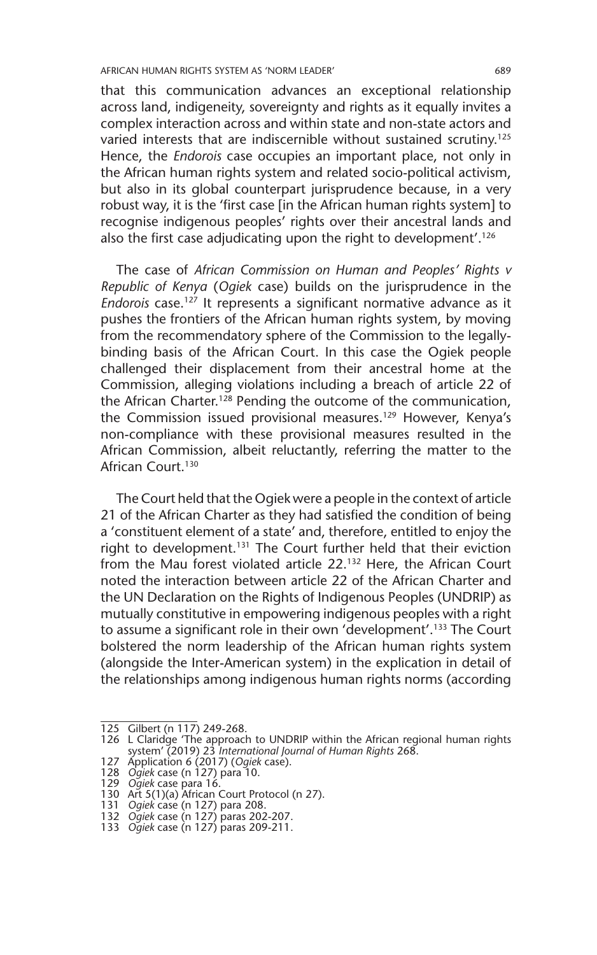that this communication advances an exceptional relationship across land, indigeneity, sovereignty and rights as it equally invites a complex interaction across and within state and non-state actors and varied interests that are indiscernible without sustained scrutiny.<sup>125</sup> Hence, the *Endorois* case occupies an important place, not only in the African human rights system and related socio-political activism, but also in its global counterpart jurisprudence because, in a very robust way, it is the 'first case [in the African human rights system] to recognise indigenous peoples' rights over their ancestral lands and also the first case adjudicating upon the right to development'.<sup>126</sup>

The case of *African Commission on Human and Peoples' Rights v Republic of Kenya* (*Ogiek* case) builds on the jurisprudence in the *Endorois* case.127 It represents a significant normative advance as it pushes the frontiers of the African human rights system, by moving from the recommendatory sphere of the Commission to the legallybinding basis of the African Court. In this case the Ogiek people challenged their displacement from their ancestral home at the Commission, alleging violations including a breach of article 22 of the African Charter.128 Pending the outcome of the communication, the Commission issued provisional measures.129 However, Kenya's non-compliance with these provisional measures resulted in the African Commission, albeit reluctantly, referring the matter to the African Court.130

The Court held that the Ogiek were a people in the context of article 21 of the African Charter as they had satisfied the condition of being a 'constituent element of a state' and, therefore, entitled to enjoy the right to development.<sup>131</sup> The Court further held that their eviction from the Mau forest violated article 22.132 Here, the African Court noted the interaction between article 22 of the African Charter and the UN Declaration on the Rights of Indigenous Peoples (UNDRIP) as mutually constitutive in empowering indigenous peoples with a right to assume a significant role in their own 'development'.<sup>133</sup> The Court bolstered the norm leadership of the African human rights system (alongside the Inter-American system) in the explication in detail of the relationships among indigenous human rights norms (according

<sup>125</sup> Gilbert (n 117) 249-268.

<sup>126</sup> L Claridge 'The approach to UNDRIP within the African regional human rights system' (2019) 23 *International Journal of Human Rights* 268.

<sup>127</sup> Application 6 (2017) (*Ogiek* case).

<sup>128</sup> *Ogiek* case (n 127) para 10. 129 *Ogiek* case para 16. 130 Art 5(1)(a) African Court Protocol (n 27).

<sup>131</sup> *Ogiek* case (n 127) para 208.

<sup>132</sup> *Ogiek* case (n 127) paras 202-207.

<sup>133</sup> *Ogiek* case (n 127) paras 209-211.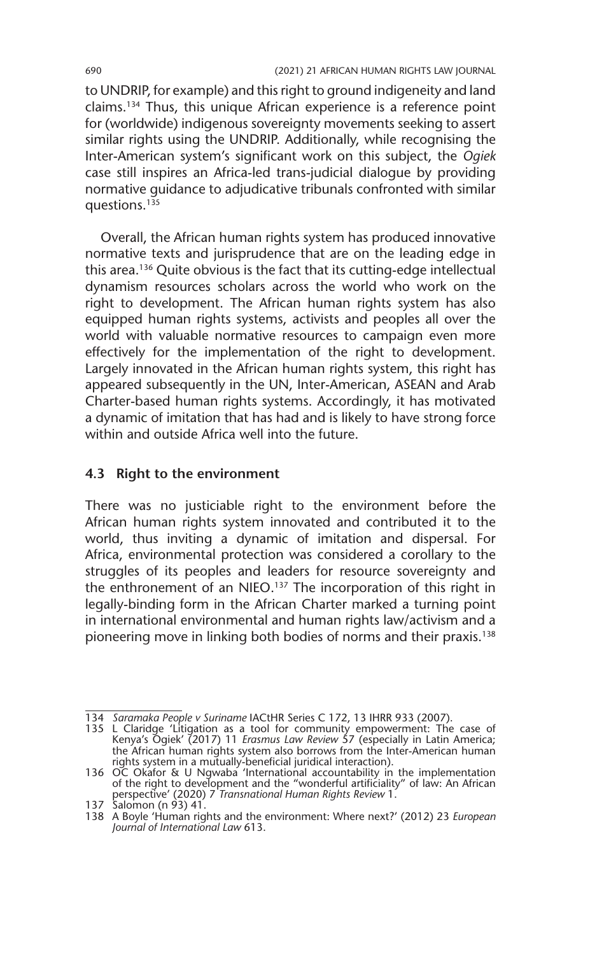to UNDRIP, for example) and this right to ground indigeneity and land claims.134 Thus, this unique African experience is a reference point for (worldwide) indigenous sovereignty movements seeking to assert similar rights using the UNDRIP. Additionally, while recognising the Inter-American system's significant work on this subject, the *Ogiek* case still inspires an Africa-led trans-judicial dialogue by providing normative guidance to adjudicative tribunals confronted with similar questions.135

Overall, the African human rights system has produced innovative normative texts and jurisprudence that are on the leading edge in this area.136 Quite obvious is the fact that its cutting-edge intellectual dynamism resources scholars across the world who work on the right to development. The African human rights system has also equipped human rights systems, activists and peoples all over the world with valuable normative resources to campaign even more effectively for the implementation of the right to development. Largely innovated in the African human rights system, this right has appeared subsequently in the UN, Inter-American, ASEAN and Arab Charter-based human rights systems. Accordingly, it has motivated a dynamic of imitation that has had and is likely to have strong force within and outside Africa well into the future.

#### **4.3 Right to the environment**

There was no justiciable right to the environment before the African human rights system innovated and contributed it to the world, thus inviting a dynamic of imitation and dispersal. For Africa, environmental protection was considered a corollary to the struggles of its peoples and leaders for resource sovereignty and the enthronement of an NIEO.137 The incorporation of this right in legally-binding form in the African Charter marked a turning point in international environmental and human rights law/activism and a pioneering move in linking both bodies of norms and their praxis.138

<sup>134</sup> *Saramaka People v Suriname* IACtHR Series C 172, 13 IHRR 933 (2007).

<sup>135</sup> L Claridge 'Litigation as a tool for community empowerment: The case of Kenya's Ogiek' (2017) 11 *Erasmus Law Review* 57 (especially in Latin America; the African human rights system also borrows from the Inter-American human rights system in a mutually-beneficial juridical interaction).

<sup>136</sup> OC Okafor & U Ngwaba 'International accountability in the implementation<br>of the right to development and the "wonderful artificiality" of law: An African<br>perspective' (2020) 7 Transnational Human Rights Review 1.

<sup>137</sup> Salomon (n 93) 41.

<sup>138</sup> A Boyle 'Human rights and the environment: Where next?' (2012) 23 *European Journal of International Law* 613.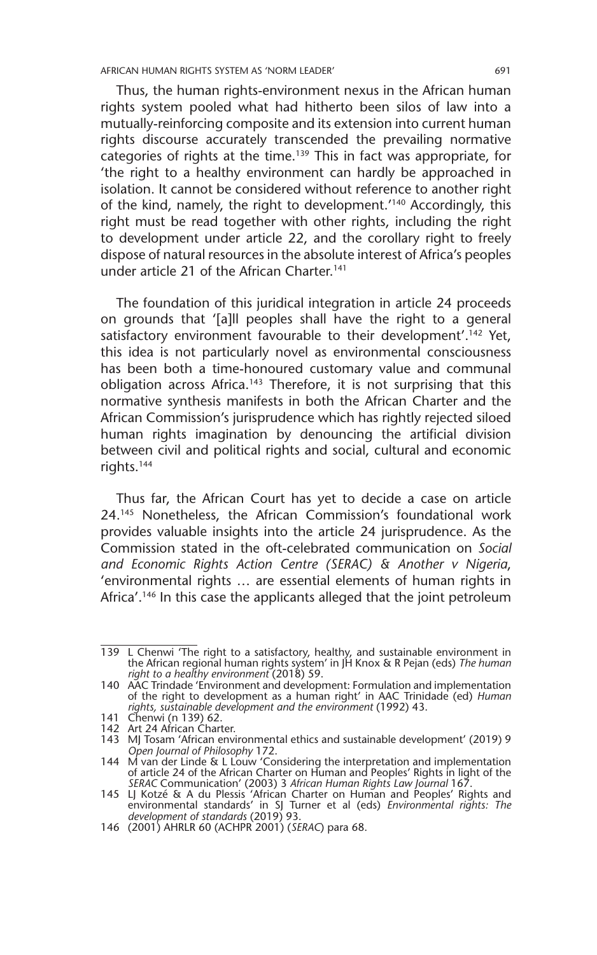Thus, the human rights-environment nexus in the African human rights system pooled what had hitherto been silos of law into a mutually-reinforcing composite and its extension into current human rights discourse accurately transcended the prevailing normative categories of rights at the time.<sup>139</sup> This in fact was appropriate, for 'the right to a healthy environment can hardly be approached in isolation. It cannot be considered without reference to another right of the kind, namely, the right to development.'140 Accordingly, this right must be read together with other rights, including the right to development under article 22, and the corollary right to freely dispose of natural resources in the absolute interest of Africa's peoples under article 21 of the African Charter.<sup>141</sup>

The foundation of this juridical integration in article 24 proceeds on grounds that '[a]ll peoples shall have the right to a general satisfactory environment favourable to their development'.<sup>142</sup> Yet, this idea is not particularly novel as environmental consciousness has been both a time-honoured customary value and communal obligation across Africa.<sup>143</sup> Therefore, it is not surprising that this normative synthesis manifests in both the African Charter and the African Commission's jurisprudence which has rightly rejected siloed human rights imagination by denouncing the artificial division between civil and political rights and social, cultural and economic rights.<sup>144</sup>

Thus far, the African Court has yet to decide a case on article 24.145 Nonetheless, the African Commission's foundational work provides valuable insights into the article 24 jurisprudence. As the Commission stated in the oft-celebrated communication on *Social and Economic Rights Action Centre (SERAC) & Another v Nigeria*, 'environmental rights … are essential elements of human rights in Africa'.146 In this case the applicants alleged that the joint petroleum

<sup>139</sup> L Chenwi 'The right to a satisfactory, healthy, and sustainable environment in the African regional human rights system' in JH Knox & R Pejan (eds) *The human right to a healthy environment* (2018) 59.

<sup>140</sup> AAC Trindade 'Environment and development: Formulation and implementation of the right to development as a human right' in AAC Trinidade (ed) *Human rights, sustainable development and the environment* (1992) 43.

<sup>141</sup> Chenwi (n 139) 62.

<sup>142</sup> Art 24 African Charter.

<sup>143</sup> MJ Tosam 'African environmental ethics and sustainable development' (2019) 9 *Open Journal of Philosophy* 172.

<sup>144</sup> M van der Linde & L Louw 'Considering the interpretation and implementation of article 24 of the African Charter on Human and Peoples' Rights in light of the

*SERAC* Communication' (2003) 3 *African Human Rights Law Journal* 167. 145 LJ Kotzé & A du Plessis 'African Charter on Human and Peoples' Rights and environmental standards' in SJ Turner et al (eds) *Environmental rights: The development of standards* (2019) 93.

<sup>146</sup> (2001) AHRLR 60 (ACHPR 2001) (*SERAC*) para 68.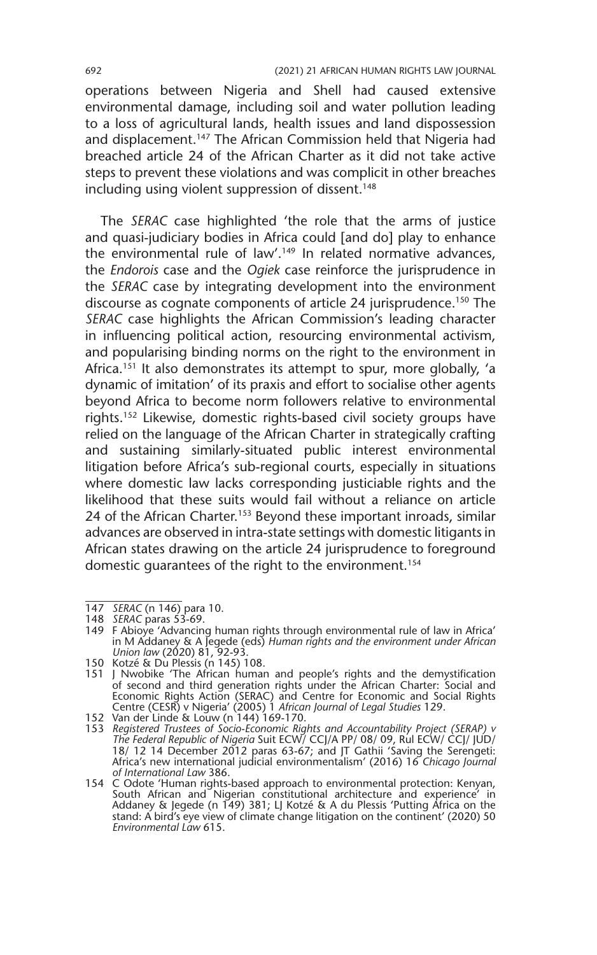operations between Nigeria and Shell had caused extensive environmental damage, including soil and water pollution leading to a loss of agricultural lands, health issues and land dispossession and displacement.147 The African Commission held that Nigeria had breached article 24 of the African Charter as it did not take active steps to prevent these violations and was complicit in other breaches including using violent suppression of dissent.<sup>148</sup>

The *SERAC* case highlighted 'the role that the arms of justice and quasi-judiciary bodies in Africa could [and do] play to enhance the environmental rule of law'.<sup>149</sup> In related normative advances, the *Endorois* case and the *Ogiek* case reinforce the jurisprudence in the *SERAC* case by integrating development into the environment discourse as cognate components of article 24 jurisprudence.<sup>150</sup> The *SERAC* case highlights the African Commission's leading character in influencing political action, resourcing environmental activism, and popularising binding norms on the right to the environment in Africa.<sup>151</sup> It also demonstrates its attempt to spur, more globally, 'a dynamic of imitation' of its praxis and effort to socialise other agents beyond Africa to become norm followers relative to environmental rights.152 Likewise, domestic rights-based civil society groups have relied on the language of the African Charter in strategically crafting and sustaining similarly-situated public interest environmental litigation before Africa's sub-regional courts, especially in situations where domestic law lacks corresponding justiciable rights and the likelihood that these suits would fail without a reliance on article 24 of the African Charter.<sup>153</sup> Beyond these important inroads, similar advances are observed in intra-state settings with domestic litigants in African states drawing on the article 24 jurisprudence to foreground domestic quarantees of the right to the environment.<sup>154</sup>

<sup>147</sup> *SERAC* (n 146) para 10.

<sup>148</sup> *SERAC* paras 53-69.

<sup>149</sup> F Abioye 'Advancing human rights through environmental rule of law in Africa' in M Addaney & A Jegede (eds) *Human rights and the environment under African Union law* (2020) 81, 92-93.

<sup>150</sup> Kotzé & Du Plessis (n 145) 108.

<sup>151</sup> J Nwobike 'The African human and people's rights and the demystification of second and third generation rights under the African Charter: Social and Economic Rights Action (SERAC) and Centre for Economic and Social Rights Centre (CESR) v Nigeria' (2005) 1 *African Journal of Legal Studies* 129.

<sup>152</sup> Van der Linde & Louw (n 144) 169-170.

<sup>153</sup> *Registered Trustees of Socio-Economic Rights and Accountability Project (SERAP) v The Federal Republic of Nigeria* Suit ECW/ CCJ/A PP/ 08/ 09, Rul ECW/ CCJ/ JUD/ 18/ 12 14 December 2012 paras 63-67; and JT Gathii 'Saving the Serengeti: Africa's new international judicial environmentalism' (2016) 16 *Chicago Journal* 

*of International Law* 386. 154 C Odote 'Human rights-based approach to environmental protection: Kenyan, South African and Nigerian constitutional architecture and experience' in Addaney & Jegede (n 149) 381; LJ Kotzé & A du Plessis 'Putting Africa on the stand: A bird's eye view of climate change litigation on the continent' (2020) 50 *Environmental Law* 615.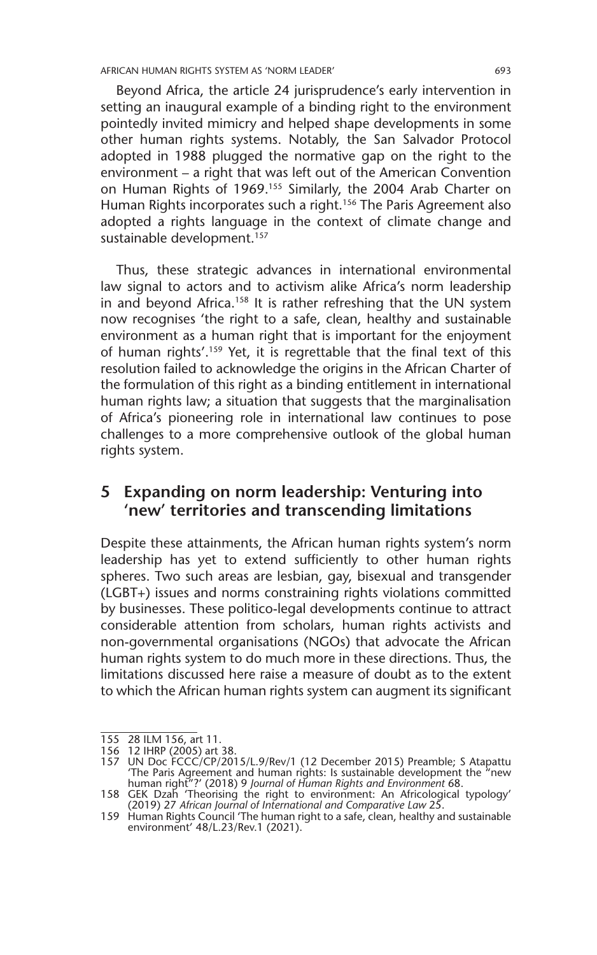Beyond Africa, the article 24 jurisprudence's early intervention in setting an inaugural example of a binding right to the environment pointedly invited mimicry and helped shape developments in some other human rights systems. Notably, the San Salvador Protocol adopted in 1988 plugged the normative gap on the right to the environment – a right that was left out of the American Convention on Human Rights of 1969.<sup>155</sup> Similarly, the 2004 Arab Charter on Human Rights incorporates such a right.<sup>156</sup> The Paris Agreement also adopted a rights language in the context of climate change and sustainable development.<sup>157</sup>

Thus, these strategic advances in international environmental law signal to actors and to activism alike Africa's norm leadership in and beyond Africa.<sup>158</sup> It is rather refreshing that the UN system now recognises 'the right to a safe, clean, healthy and sustainable environment as a human right that is important for the enjoyment of human rights'.159 Yet, it is regrettable that the final text of this resolution failed to acknowledge the origins in the African Charter of the formulation of this right as a binding entitlement in international human rights law; a situation that suggests that the marginalisation of Africa's pioneering role in international law continues to pose challenges to a more comprehensive outlook of the global human rights system.

## **5 Expanding on norm leadership: Venturing into 'new' territories and transcending limitations**

Despite these attainments, the African human rights system's norm leadership has yet to extend sufficiently to other human rights spheres. Two such areas are lesbian, gay, bisexual and transgender (LGBT+) issues and norms constraining rights violations committed by businesses. These politico-legal developments continue to attract considerable attention from scholars, human rights activists and non-governmental organisations (NGOs) that advocate the African human rights system to do much more in these directions. Thus, the limitations discussed here raise a measure of doubt as to the extent to which the African human rights system can augment its significant

<sup>155</sup> 28 ILM 156, art 11.

<sup>156</sup> 12 IHRP (2005) art 38.

<sup>157</sup> UN Doc FCCC/CP/2015/L.9/Rev/1 (12 December 2015) Preamble; S Atapattu The Paris Agreement and human rights: Is sustainable development the "new<br>human right"?' (2018) 9 Journal of Human Rights and Environment 68.<br>158 GEK Dzah 'Theorising the right to environment: An Africological typology'

<sup>(2019) 27</sup> *African Journal of International and Comparative Law* 25.

<sup>159</sup> Human Rights Council 'The human right to a safe, clean, healthy and sustainable environment' 48/L.23/Rev.1 (2021).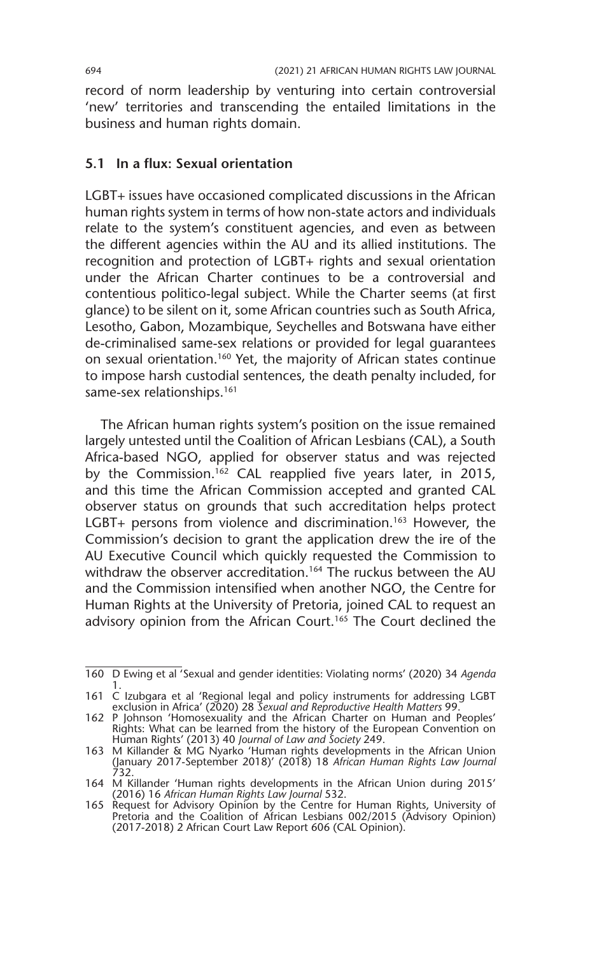record of norm leadership by venturing into certain controversial 'new' territories and transcending the entailed limitations in the business and human rights domain.

#### **5.1 In a flux: Sexual orientation**

LGBT+ issues have occasioned complicated discussions in the African human rights system in terms of how non-state actors and individuals relate to the system's constituent agencies, and even as between the different agencies within the AU and its allied institutions. The recognition and protection of LGBT+ rights and sexual orientation under the African Charter continues to be a controversial and contentious politico-legal subject. While the Charter seems (at first glance) to be silent on it, some African countries such as South Africa, Lesotho, Gabon, Mozambique, Seychelles and Botswana have either de-criminalised same-sex relations or provided for legal guarantees on sexual orientation.160 Yet, the majority of African states continue to impose harsh custodial sentences, the death penalty included, for same-sex relationships.<sup>161</sup>

The African human rights system's position on the issue remained largely untested until the Coalition of African Lesbians (CAL), a South Africa-based NGO, applied for observer status and was rejected by the Commission.<sup>162</sup> CAL reapplied five years later, in 2015, and this time the African Commission accepted and granted CAL observer status on grounds that such accreditation helps protect LGBT+ persons from violence and discrimination.<sup>163</sup> However, the Commission's decision to grant the application drew the ire of the AU Executive Council which quickly requested the Commission to withdraw the observer accreditation.<sup>164</sup> The ruckus between the AU and the Commission intensified when another NGO, the Centre for Human Rights at the University of Pretoria, joined CAL to request an advisory opinion from the African Court.<sup>165</sup> The Court declined the

<sup>160</sup> D Ewing et al 'Sexual and gender identities: Violating norms' (2020) 34 *Agenda* 1.

<sup>161</sup> C Izubgara et al 'Regional legal and policy instruments for addressing LGBT exclusion in Africa' (2020) 28 *Sexual and Reproductive Health Matters* 99.

<sup>162</sup> P Johnson 'Homosexuality and the African Charter on Human and Peoples' Rights: What can be learned from the history of the European Convention on Human Rights' (2013) 40 *Journal of Law and Society* 249.

<sup>163</sup> M Killander & MG Nyarko 'Human rights developments in the African Union (January 2017-September 2018)' (2018) 18 *African Human Rights Law Journal* 732.

<sup>164</sup> M Killander 'Human rights developments in the African Union during 2015' (2016) 16 *African Human Rights Law Journal* 532.

<sup>165</sup> Request for Advisory Opinion by the Centre for Human Rights, University of Pretoria and the Coalition of African Lesbians 002/2015 (Advisory Opinion) (2017-2018) 2 African Court Law Report 606 (CAL Opinion).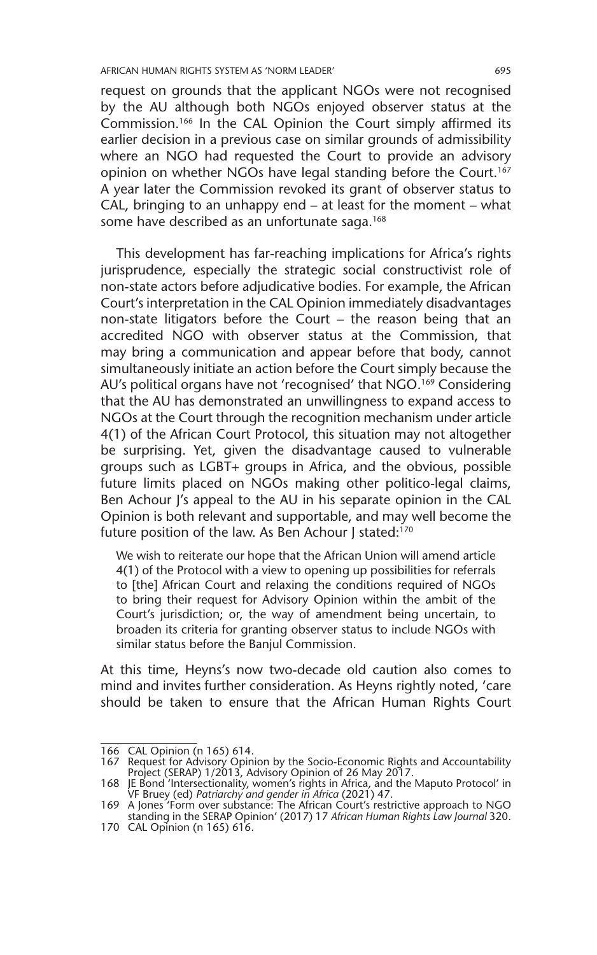request on grounds that the applicant NGOs were not recognised by the AU although both NGOs enjoyed observer status at the Commission.166 In the CAL Opinion the Court simply affirmed its earlier decision in a previous case on similar grounds of admissibility where an NGO had requested the Court to provide an advisory opinion on whether NGOs have legal standing before the Court.<sup>167</sup> A year later the Commission revoked its grant of observer status to CAL, bringing to an unhappy end – at least for the moment – what some have described as an unfortunate saga.<sup>168</sup>

This development has far-reaching implications for Africa's rights jurisprudence, especially the strategic social constructivist role of non-state actors before adjudicative bodies. For example, the African Court's interpretation in the CAL Opinion immediately disadvantages non-state litigators before the Court – the reason being that an accredited NGO with observer status at the Commission, that may bring a communication and appear before that body, cannot simultaneously initiate an action before the Court simply because the AU's political organs have not 'recognised' that NGO.169 Considering that the AU has demonstrated an unwillingness to expand access to NGOs at the Court through the recognition mechanism under article 4(1) of the African Court Protocol, this situation may not altogether be surprising. Yet, given the disadvantage caused to vulnerable groups such as LGBT+ groups in Africa, and the obvious, possible future limits placed on NGOs making other politico-legal claims, Ben Achour I's appeal to the AU in his separate opinion in the CAL Opinion is both relevant and supportable, and may well become the future position of the law. As Ben Achour | stated:<sup>170</sup>

We wish to reiterate our hope that the African Union will amend article 4(1) of the Protocol with a view to opening up possibilities for referrals to [the] African Court and relaxing the conditions required of NGOs to bring their request for Advisory Opinion within the ambit of the Court's jurisdiction; or, the way of amendment being uncertain, to broaden its criteria for granting observer status to include NGOs with similar status before the Banjul Commission.

At this time, Heyns's now two-decade old caution also comes to mind and invites further consideration. As Heyns rightly noted, 'care should be taken to ensure that the African Human Rights Court

<sup>166</sup> CAL Opinion (n 165) 614.

<sup>167</sup> Request for Advisory Opinion by the Socio-Economic Rights and Accountability

Project (SERAP) 1/2013, Advisory Opinion of 26 May 2017. 168 JE Bond 'Intersectionality, women's rights in Africa, and the Maputo Protocol' in VF Bruey (ed) *Patriarchy and gender in Africa* (2021) 47.

<sup>169</sup> A Jones 'Form over substance: The African Court's restrictive approach to NGO standing in the SERAP Opinion' (2017) 17 *African Human Rights Law Journal* 320.

<sup>170</sup> CAL Opinion (n 165) 616.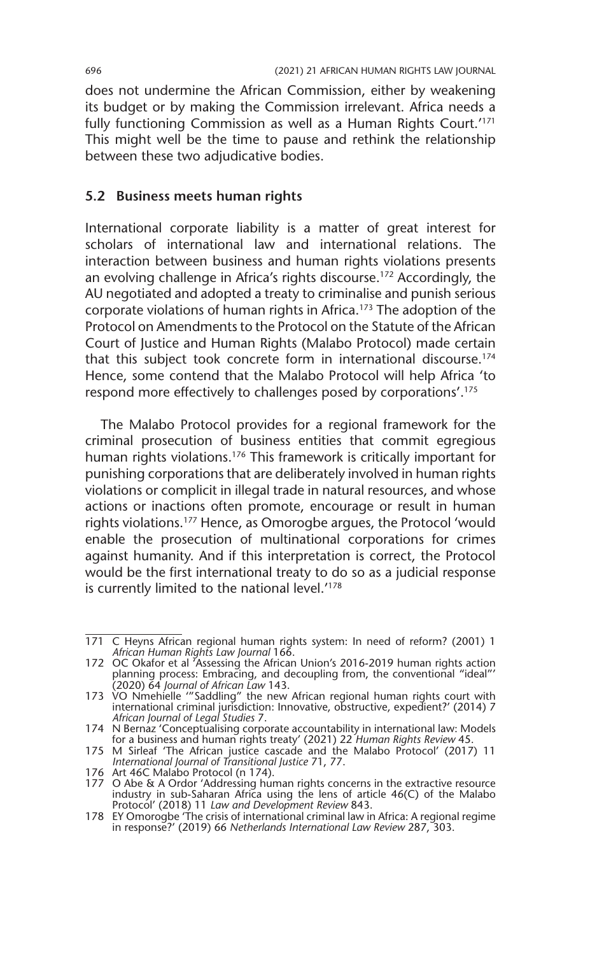does not undermine the African Commission, either by weakening its budget or by making the Commission irrelevant. Africa needs a fully functioning Commission as well as a Human Rights Court.'171 This might well be the time to pause and rethink the relationship between these two adjudicative bodies.

#### **5.2 Business meets human rights**

International corporate liability is a matter of great interest for scholars of international law and international relations. The interaction between business and human rights violations presents an evolving challenge in Africa's rights discourse.172 Accordingly, the AU negotiated and adopted a treaty to criminalise and punish serious corporate violations of human rights in Africa.173 The adoption of the Protocol on Amendments to the Protocol on the Statute of the African Court of Justice and Human Rights (Malabo Protocol) made certain that this subject took concrete form in international discourse.<sup>174</sup> Hence, some contend that the Malabo Protocol will help Africa 'to respond more effectively to challenges posed by corporations'.175

The Malabo Protocol provides for a regional framework for the criminal prosecution of business entities that commit egregious human rights violations.176 This framework is critically important for punishing corporations that are deliberately involved in human rights violations or complicit in illegal trade in natural resources, and whose actions or inactions often promote, encourage or result in human rights violations.177 Hence, as Omorogbe argues, the Protocol 'would enable the prosecution of multinational corporations for crimes against humanity. And if this interpretation is correct, the Protocol would be the first international treaty to do so as a judicial response is currently limited to the national level.'178

<sup>171</sup> C Heyns African regional human rights system: In need of reform? (2001) 1 *African Human Rights Law Journal* 166.

<sup>172</sup> OC Okafor et al 'Assessing the African Union's 2016-2019 human rights action planning process: Embracing, and decoupling from, the conventional "ideal"' (2020) 64 *Journal of African Law* 143.

<sup>173</sup> VO Nmehielle '"Saddling" the new African regional human rights court with international criminal jurisdiction: Innovative, obstructive, expedient?' (2014) 7 *African Journal of Legal Studies* 7.

<sup>174</sup> N Bernaz 'Conceptualising corporate accountability in international law: Models for a business and human rights treaty' (2021) 22 *Human Rights Review* 45.

<sup>175</sup> M Sirleaf 'The African justice cascade and the Malabo Protocol' (2017) 11 *International Journal of Transitional Justice* 71, 77.

<sup>176</sup> Art 46C Malabo Protocol (n 174). 177 O Abe & A Ordor 'Addressing human rights concerns in the extractive resource industry in sub-Saharan Africa using the lens of article 46(C) of the Malabo Protocol' (2018) 11 *Law and Development Review* 843.

<sup>178</sup> EY Omorogbe 'The crisis of international criminal law in Africa: A regional regime in response?' (2019) 66 *Netherlands International Law Review* 287, 303.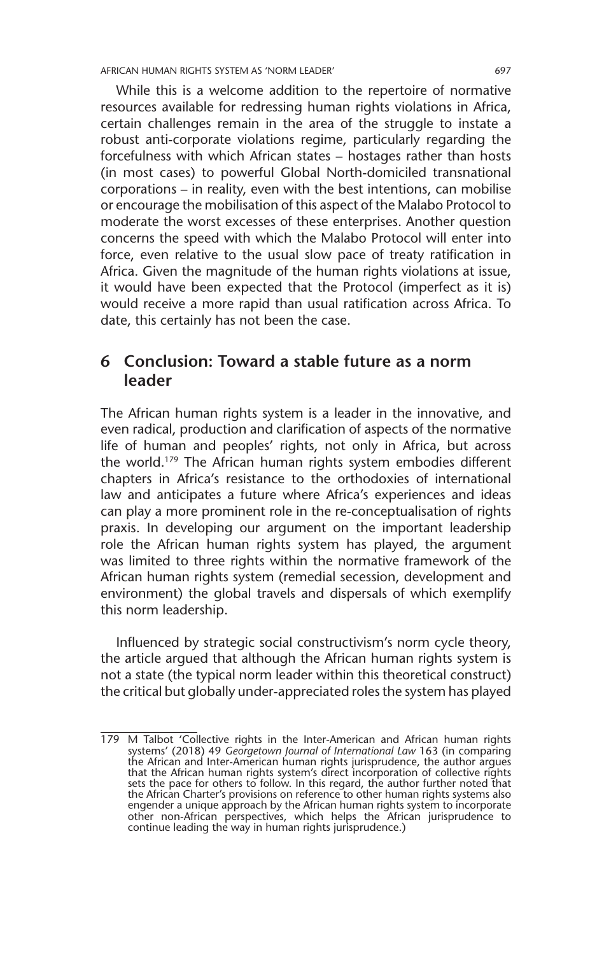While this is a welcome addition to the repertoire of normative resources available for redressing human rights violations in Africa, certain challenges remain in the area of the struggle to instate a robust anti-corporate violations regime, particularly regarding the forcefulness with which African states – hostages rather than hosts (in most cases) to powerful Global North-domiciled transnational corporations – in reality, even with the best intentions, can mobilise or encourage the mobilisation of this aspect of the Malabo Protocol to moderate the worst excesses of these enterprises. Another question concerns the speed with which the Malabo Protocol will enter into force, even relative to the usual slow pace of treaty ratification in Africa. Given the magnitude of the human rights violations at issue, it would have been expected that the Protocol (imperfect as it is) would receive a more rapid than usual ratification across Africa. To date, this certainly has not been the case.

## **6 Conclusion: Toward a stable future as a norm leader**

The African human rights system is a leader in the innovative, and even radical, production and clarification of aspects of the normative life of human and peoples' rights, not only in Africa, but across the world.179 The African human rights system embodies different chapters in Africa's resistance to the orthodoxies of international law and anticipates a future where Africa's experiences and ideas can play a more prominent role in the re-conceptualisation of rights praxis. In developing our argument on the important leadership role the African human rights system has played, the argument was limited to three rights within the normative framework of the African human rights system (remedial secession, development and environment) the global travels and dispersals of which exemplify this norm leadership.

Influenced by strategic social constructivism's norm cycle theory, the article argued that although the African human rights system is not a state (the typical norm leader within this theoretical construct) the critical but globally under-appreciated roles the system has played

<sup>179</sup> M Talbot 'Collective rights in the Inter-American and African human rights systems' (2018) 49 *Georgetown Journal of International Law* 163 (in comparing the African and Inter-American human rights jurisprudence, the author argues that the African human rights system's direct incorporation of collective rights sets the pace for others to follow. In this regard, the author further noted that the African Charter's provisions on reference to other human rights systems also engender a unique approach by the African human rights system to incorporate other non-African perspectives, which helps the African jurisprudence to continue leading the way in human rights jurisprudence.)